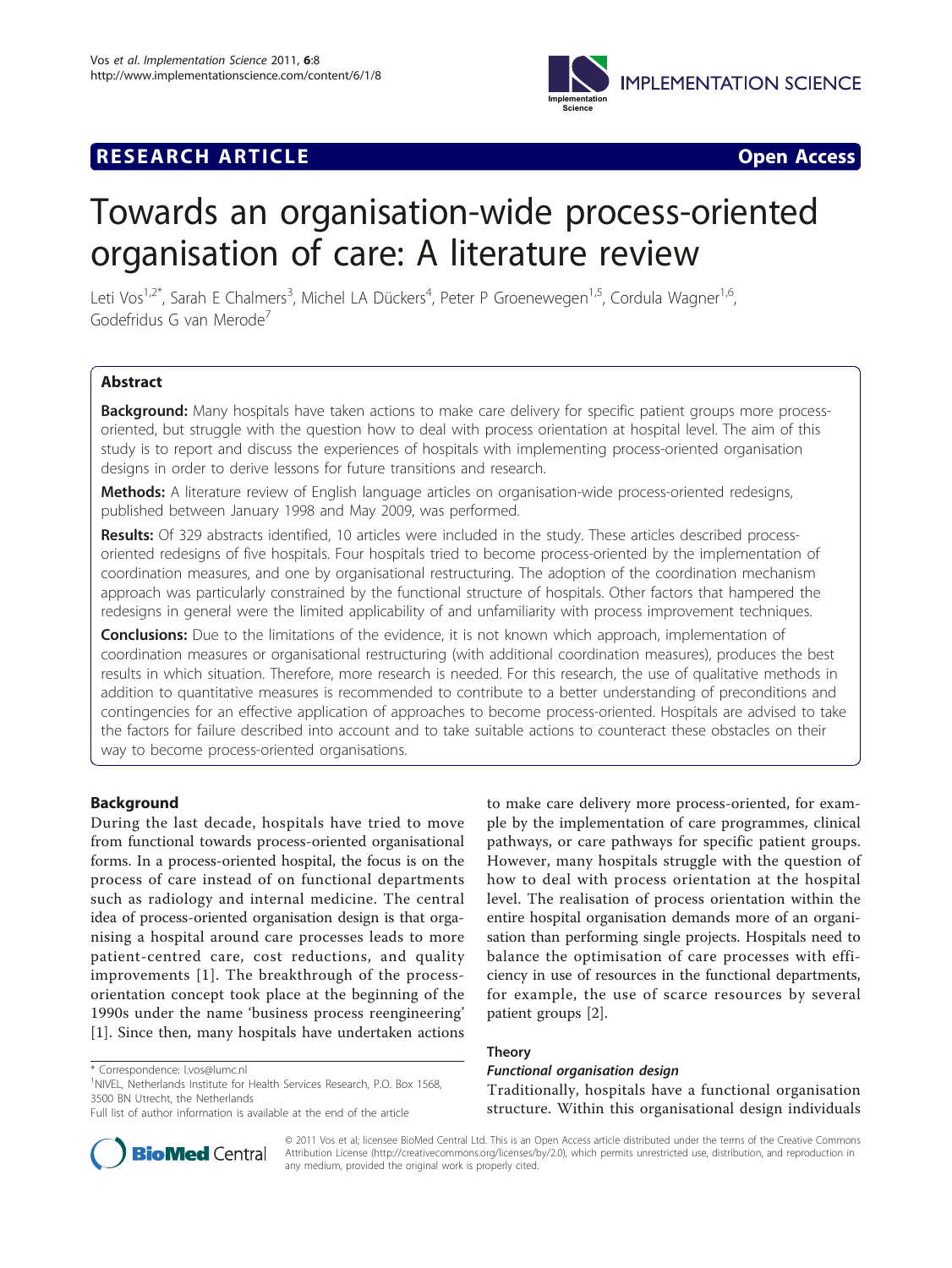

# **RESEARCH ARTICLE External Structure of the Contract Open Access**



# Towards an organisation-wide process-oriented organisation of care: A literature review

Leti Vos<sup>1,2\*</sup>, Sarah E Chalmers<sup>3</sup>, Michel LA Dückers<sup>4</sup>, Peter P Groenewegen<sup>1,5</sup>, Cordula Wagner<sup>1,6</sup>, Godefridus G van Merode<sup>7</sup>

# Abstract

Background: Many hospitals have taken actions to make care delivery for specific patient groups more processoriented, but struggle with the question how to deal with process orientation at hospital level. The aim of this study is to report and discuss the experiences of hospitals with implementing process-oriented organisation designs in order to derive lessons for future transitions and research.

Methods: A literature review of English language articles on organisation-wide process-oriented redesigns, published between January 1998 and May 2009, was performed.

Results: Of 329 abstracts identified, 10 articles were included in the study. These articles described processoriented redesigns of five hospitals. Four hospitals tried to become process-oriented by the implementation of coordination measures, and one by organisational restructuring. The adoption of the coordination mechanism approach was particularly constrained by the functional structure of hospitals. Other factors that hampered the redesigns in general were the limited applicability of and unfamiliarity with process improvement techniques.

**Conclusions:** Due to the limitations of the evidence, it is not known which approach, implementation of coordination measures or organisational restructuring (with additional coordination measures), produces the best results in which situation. Therefore, more research is needed. For this research, the use of qualitative methods in addition to quantitative measures is recommended to contribute to a better understanding of preconditions and contingencies for an effective application of approaches to become process-oriented. Hospitals are advised to take the factors for failure described into account and to take suitable actions to counteract these obstacles on their way to become process-oriented organisations.

# Background

During the last decade, hospitals have tried to move from functional towards process-oriented organisational forms. In a process-oriented hospital, the focus is on the process of care instead of on functional departments such as radiology and internal medicine. The central idea of process-oriented organisation design is that organising a hospital around care processes leads to more patient-centred care, cost reductions, and quality improvements [[1\]](#page-12-0). The breakthrough of the processorientation concept took place at the beginning of the 1990s under the name 'business process reengineering' [[1\]](#page-12-0). Since then, many hospitals have undertaken actions

to make care delivery more process-oriented, for example by the implementation of care programmes, clinical pathways, or care pathways for specific patient groups. However, many hospitals struggle with the question of how to deal with process orientation at the hospital level. The realisation of process orientation within the entire hospital organisation demands more of an organisation than performing single projects. Hospitals need to balance the optimisation of care processes with efficiency in use of resources in the functional departments, for example, the use of scarce resources by several patient groups [\[2](#page-12-0)].

#### Theory

#### Functional organisation design

Traditionally, hospitals have a functional organisation structure. Within this organisational design individuals



© 2011 Vos et al; licensee BioMed Central Ltd. This is an Open Access article distributed under the terms of the Creative Commons Attribution License [\(http://creativecommons.org/licenses/by/2.0](http://creativecommons.org/licenses/by/2.0)), which permits unrestricted use, distribution, and reproduction in any medium, provided the original work is properly cited.

<sup>\*</sup> Correspondence: [l.vos@lumc.nl](mailto:l.vos@lumc.nl)

<sup>&</sup>lt;sup>1</sup>NIVEL, Netherlands Institute for Health Services Research, P.O. Box 1568, 3500 BN Utrecht, the Netherlands

Full list of author information is available at the end of the article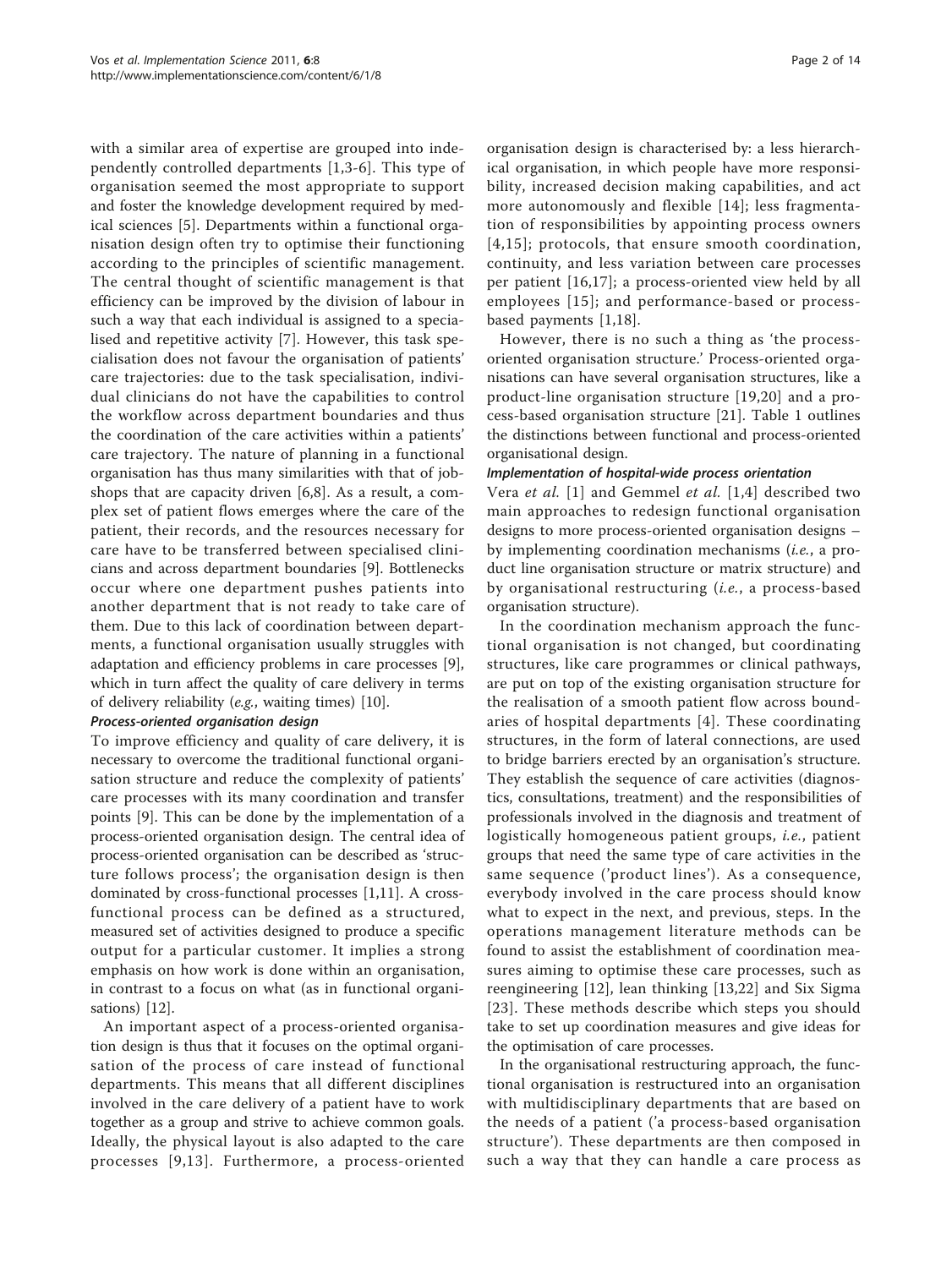with a similar area of expertise are grouped into independently controlled departments [\[1](#page-12-0),[3-6\]](#page-12-0). This type of organisation seemed the most appropriate to support and foster the knowledge development required by medical sciences [[5\]](#page-12-0). Departments within a functional organisation design often try to optimise their functioning according to the principles of scientific management. The central thought of scientific management is that efficiency can be improved by the division of labour in such a way that each individual is assigned to a specialised and repetitive activity [\[7](#page-12-0)]. However, this task specialisation does not favour the organisation of patients' care trajectories: due to the task specialisation, individual clinicians do not have the capabilities to control the workflow across department boundaries and thus the coordination of the care activities within a patients' care trajectory. The nature of planning in a functional organisation has thus many similarities with that of jobshops that are capacity driven [\[6,8](#page-12-0)]. As a result, a complex set of patient flows emerges where the care of the patient, their records, and the resources necessary for care have to be transferred between specialised clinicians and across department boundaries [[9\]](#page-12-0). Bottlenecks occur where one department pushes patients into another department that is not ready to take care of them. Due to this lack of coordination between departments, a functional organisation usually struggles with adaptation and efficiency problems in care processes [\[9](#page-12-0)], which in turn affect the quality of care delivery in terms of delivery reliability (e.g., waiting times) [[10\]](#page-12-0).

# Process-oriented organisation design

To improve efficiency and quality of care delivery, it is necessary to overcome the traditional functional organisation structure and reduce the complexity of patients' care processes with its many coordination and transfer points [[9](#page-12-0)]. This can be done by the implementation of a process-oriented organisation design. The central idea of process-oriented organisation can be described as 'structure follows process'; the organisation design is then dominated by cross-functional processes [\[1,11](#page-12-0)]. A crossfunctional process can be defined as a structured, measured set of activities designed to produce a specific output for a particular customer. It implies a strong emphasis on how work is done within an organisation, in contrast to a focus on what (as in functional organisations) [\[12](#page-12-0)].

An important aspect of a process-oriented organisation design is thus that it focuses on the optimal organisation of the process of care instead of functional departments. This means that all different disciplines involved in the care delivery of a patient have to work together as a group and strive to achieve common goals. Ideally, the physical layout is also adapted to the care processes [[9](#page-12-0),[13\]](#page-12-0). Furthermore, a process-oriented

organisation design is characterised by: a less hierarchical organisation, in which people have more responsibility, increased decision making capabilities, and act more autonomously and flexible [[14\]](#page-12-0); less fragmentation of responsibilities by appointing process owners [[4,15](#page-12-0)]; protocols, that ensure smooth coordination, continuity, and less variation between care processes per patient [[16,17\]](#page-12-0); a process-oriented view held by all employees [[15\]](#page-12-0); and performance-based or processbased payments [\[1](#page-12-0),[18](#page-12-0)].

However, there is no such a thing as 'the processoriented organisation structure.' Process-oriented organisations can have several organisation structures, like a product-line organisation structure [\[19,20](#page-12-0)] and a process-based organisation structure [\[21](#page-12-0)]. Table [1](#page-2-0) outlines the distinctions between functional and process-oriented organisational design.

#### Implementation of hospital-wide process orientation

Vera et al. [[1\]](#page-12-0) and Gemmel et al. [[1,4](#page-12-0)] described two main approaches to redesign functional organisation designs to more process-oriented organisation designs – by implementing coordination mechanisms (i.e., a product line organisation structure or matrix structure) and by organisational restructuring (i.e., a process-based organisation structure).

In the coordination mechanism approach the functional organisation is not changed, but coordinating structures, like care programmes or clinical pathways, are put on top of the existing organisation structure for the realisation of a smooth patient flow across boundaries of hospital departments [[4\]](#page-12-0). These coordinating structures, in the form of lateral connections, are used to bridge barriers erected by an organisation's structure. They establish the sequence of care activities (diagnostics, consultations, treatment) and the responsibilities of professionals involved in the diagnosis and treatment of logistically homogeneous patient groups, i.e., patient groups that need the same type of care activities in the same sequence ('product lines'). As a consequence, everybody involved in the care process should know what to expect in the next, and previous, steps. In the operations management literature methods can be found to assist the establishment of coordination measures aiming to optimise these care processes, such as reengineering [\[12](#page-12-0)], lean thinking [[13,22\]](#page-12-0) and Six Sigma [[23](#page-12-0)]. These methods describe which steps you should take to set up coordination measures and give ideas for the optimisation of care processes.

In the organisational restructuring approach, the functional organisation is restructured into an organisation with multidisciplinary departments that are based on the needs of a patient ('a process-based organisation structure'). These departments are then composed in such a way that they can handle a care process as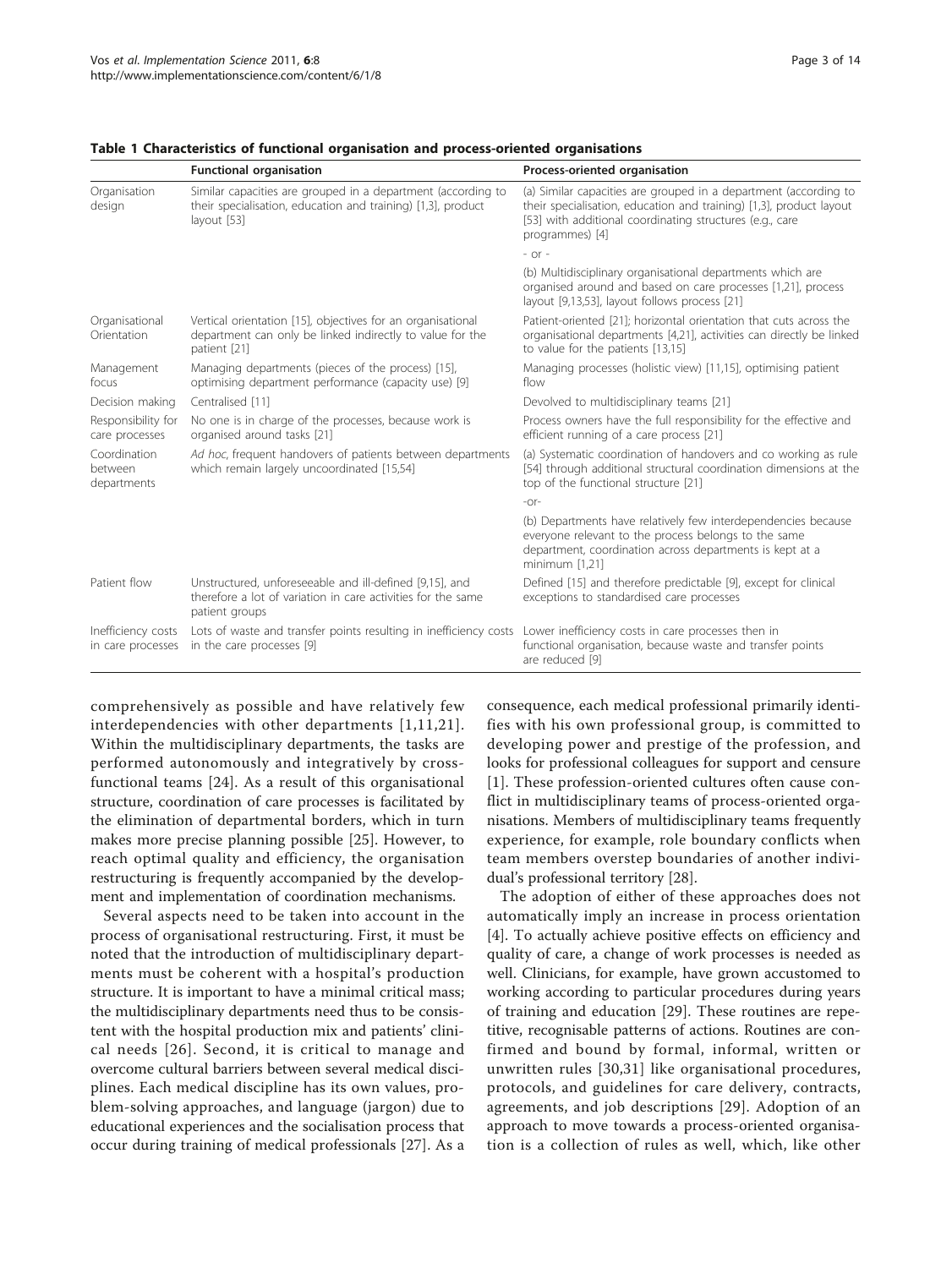|                                         | <b>Functional organisation</b>                                                                                                              | Process-oriented organisation                                                                                                                                                                                          |
|-----------------------------------------|---------------------------------------------------------------------------------------------------------------------------------------------|------------------------------------------------------------------------------------------------------------------------------------------------------------------------------------------------------------------------|
| Organisation<br>design                  | Similar capacities are grouped in a department (according to<br>their specialisation, education and training) [1,3], product<br>layout [53] | (a) Similar capacities are grouped in a department (according to<br>their specialisation, education and training) [1,3], product layout<br>[53] with additional coordinating structures (e.g., care<br>programmes) [4] |
|                                         |                                                                                                                                             | $-$ or $-$                                                                                                                                                                                                             |
|                                         |                                                                                                                                             | (b) Multidisciplinary organisational departments which are<br>organised around and based on care processes [1,21], process<br>layout [9,13,53], layout follows process [21]                                            |
| Organisational<br>Orientation           | Vertical orientation [15], objectives for an organisational<br>department can only be linked indirectly to value for the<br>patient [21]    | Patient-oriented [21]; horizontal orientation that cuts across the<br>organisational departments [4,21], activities can directly be linked<br>to value for the patients [13,15]                                        |
| Management<br>focus                     | Managing departments (pieces of the process) [15],<br>optimising department performance (capacity use) [9]                                  | Managing processes (holistic view) [11,15], optimising patient<br>flow                                                                                                                                                 |
| Decision making                         | Centralised [11]                                                                                                                            | Devolved to multidisciplinary teams [21]                                                                                                                                                                               |
| Responsibility for<br>care processes    | No one is in charge of the processes, because work is<br>organised around tasks [21]                                                        | Process owners have the full responsibility for the effective and<br>efficient running of a care process [21]                                                                                                          |
| Coordination<br>between<br>departments  | Ad hoc, frequent handovers of patients between departments<br>which remain largely uncoordinated [15,54]                                    | (a) Systematic coordination of handovers and co working as rule<br>[54] through additional structural coordination dimensions at the<br>top of the functional structure [21]                                           |
|                                         |                                                                                                                                             | $-0r-$                                                                                                                                                                                                                 |
|                                         |                                                                                                                                             | (b) Departments have relatively few interdependencies because<br>everyone relevant to the process belongs to the same<br>department, coordination across departments is kept at a<br>minimum [1,21]                    |
| Patient flow                            | Unstructured, unforeseeable and ill-defined [9,15], and<br>therefore a lot of variation in care activities for the same<br>patient groups   | Defined [15] and therefore predictable [9], except for clinical<br>exceptions to standardised care processes                                                                                                           |
| Inefficiency costs<br>in care processes | Lots of waste and transfer points resulting in inefficiency costs<br>in the care processes [9]                                              | Lower inefficiency costs in care processes then in<br>functional organisation, because waste and transfer points<br>are reduced [9]                                                                                    |

<span id="page-2-0"></span>Table 1 Characteristics of functional organisation and process-oriented organisations

comprehensively as possible and have relatively few interdependencies with other departments [[1,11,21\]](#page-12-0). Within the multidisciplinary departments, the tasks are performed autonomously and integratively by crossfunctional teams [[24](#page-12-0)]. As a result of this organisational structure, coordination of care processes is facilitated by the elimination of departmental borders, which in turn makes more precise planning possible [\[25](#page-12-0)]. However, to reach optimal quality and efficiency, the organisation restructuring is frequently accompanied by the development and implementation of coordination mechanisms.

Several aspects need to be taken into account in the process of organisational restructuring. First, it must be noted that the introduction of multidisciplinary departments must be coherent with a hospital's production structure. It is important to have a minimal critical mass; the multidisciplinary departments need thus to be consistent with the hospital production mix and patients' clinical needs [[26](#page-12-0)]. Second, it is critical to manage and overcome cultural barriers between several medical disciplines. Each medical discipline has its own values, problem-solving approaches, and language (jargon) due to educational experiences and the socialisation process that occur during training of medical professionals [\[27](#page-12-0)]. As a consequence, each medical professional primarily identifies with his own professional group, is committed to developing power and prestige of the profession, and looks for professional colleagues for support and censure [[1](#page-12-0)]. These profession-oriented cultures often cause conflict in multidisciplinary teams of process-oriented organisations. Members of multidisciplinary teams frequently experience, for example, role boundary conflicts when team members overstep boundaries of another individual's professional territory [\[28](#page-12-0)].

The adoption of either of these approaches does not automatically imply an increase in process orientation [[4\]](#page-12-0). To actually achieve positive effects on efficiency and quality of care, a change of work processes is needed as well. Clinicians, for example, have grown accustomed to working according to particular procedures during years of training and education [\[29](#page-12-0)]. These routines are repetitive, recognisable patterns of actions. Routines are confirmed and bound by formal, informal, written or unwritten rules [[30,31](#page-12-0)] like organisational procedures, protocols, and guidelines for care delivery, contracts, agreements, and job descriptions [\[29\]](#page-12-0). Adoption of an approach to move towards a process-oriented organisation is a collection of rules as well, which, like other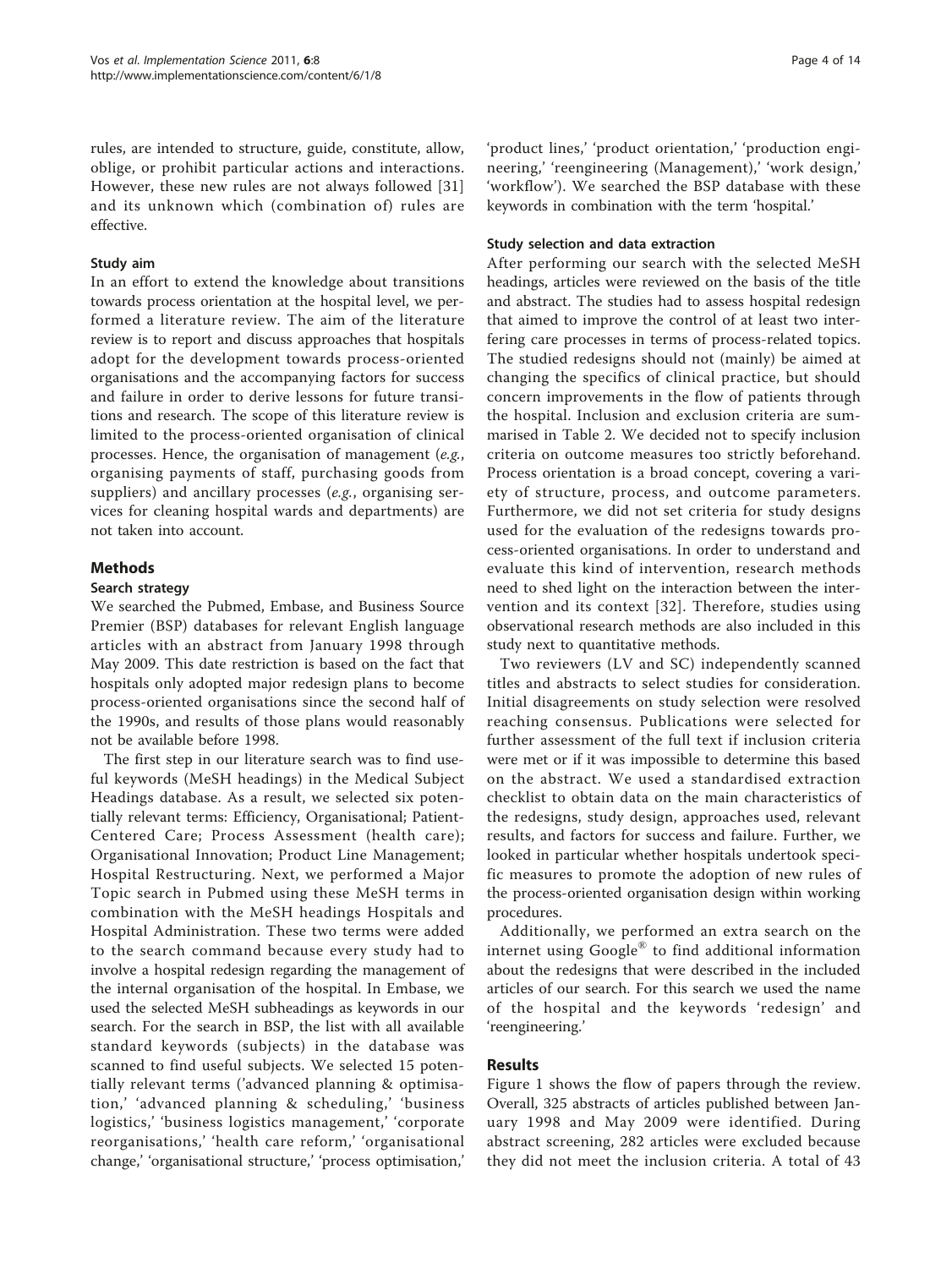rules, are intended to structure, guide, constitute, allow, oblige, or prohibit particular actions and interactions. However, these new rules are not always followed [\[31](#page-12-0)] and its unknown which (combination of) rules are effective.

#### Study aim

In an effort to extend the knowledge about transitions towards process orientation at the hospital level, we performed a literature review. The aim of the literature review is to report and discuss approaches that hospitals adopt for the development towards process-oriented organisations and the accompanying factors for success and failure in order to derive lessons for future transitions and research. The scope of this literature review is limited to the process-oriented organisation of clinical processes. Hence, the organisation of management (e.g., organising payments of staff, purchasing goods from suppliers) and ancillary processes (e.g., organising services for cleaning hospital wards and departments) are not taken into account.

# Methods

#### Search strategy

We searched the Pubmed, Embase, and Business Source Premier (BSP) databases for relevant English language articles with an abstract from January 1998 through May 2009. This date restriction is based on the fact that hospitals only adopted major redesign plans to become process-oriented organisations since the second half of the 1990s, and results of those plans would reasonably not be available before 1998.

The first step in our literature search was to find useful keywords (MeSH headings) in the Medical Subject Headings database. As a result, we selected six potentially relevant terms: Efficiency, Organisational; Patient-Centered Care; Process Assessment (health care); Organisational Innovation; Product Line Management; Hospital Restructuring. Next, we performed a Major Topic search in Pubmed using these MeSH terms in combination with the MeSH headings Hospitals and Hospital Administration. These two terms were added to the search command because every study had to involve a hospital redesign regarding the management of the internal organisation of the hospital. In Embase, we used the selected MeSH subheadings as keywords in our search. For the search in BSP, the list with all available standard keywords (subjects) in the database was scanned to find useful subjects. We selected 15 potentially relevant terms ('advanced planning & optimisation,' 'advanced planning & scheduling,' 'business logistics,' 'business logistics management,' 'corporate reorganisations,' 'health care reform,' 'organisational change,' 'organisational structure,' 'process optimisation,'

'product lines,' 'product orientation,' 'production engineering,' 'reengineering (Management),' 'work design,' 'workflow'). We searched the BSP database with these keywords in combination with the term 'hospital.'

#### Study selection and data extraction

After performing our search with the selected MeSH headings, articles were reviewed on the basis of the title and abstract. The studies had to assess hospital redesign that aimed to improve the control of at least two interfering care processes in terms of process-related topics. The studied redesigns should not (mainly) be aimed at changing the specifics of clinical practice, but should concern improvements in the flow of patients through the hospital. Inclusion and exclusion criteria are summarised in Table [2](#page-4-0). We decided not to specify inclusion criteria on outcome measures too strictly beforehand. Process orientation is a broad concept, covering a variety of structure, process, and outcome parameters. Furthermore, we did not set criteria for study designs used for the evaluation of the redesigns towards process-oriented organisations. In order to understand and evaluate this kind of intervention, research methods need to shed light on the interaction between the intervention and its context [\[32\]](#page-12-0). Therefore, studies using observational research methods are also included in this study next to quantitative methods.

Two reviewers (LV and SC) independently scanned titles and abstracts to select studies for consideration. Initial disagreements on study selection were resolved reaching consensus. Publications were selected for further assessment of the full text if inclusion criteria were met or if it was impossible to determine this based on the abstract. We used a standardised extraction checklist to obtain data on the main characteristics of the redesigns, study design, approaches used, relevant results, and factors for success and failure. Further, we looked in particular whether hospitals undertook specific measures to promote the adoption of new rules of the process-oriented organisation design within working procedures.

Additionally, we performed an extra search on the internet using Google® to find additional information about the redesigns that were described in the included articles of our search. For this search we used the name of the hospital and the keywords 'redesign' and 'reengineering.'

# Results

Figure [1](#page-5-0) shows the flow of papers through the review. Overall, 325 abstracts of articles published between January 1998 and May 2009 were identified. During abstract screening, 282 articles were excluded because they did not meet the inclusion criteria. A total of 43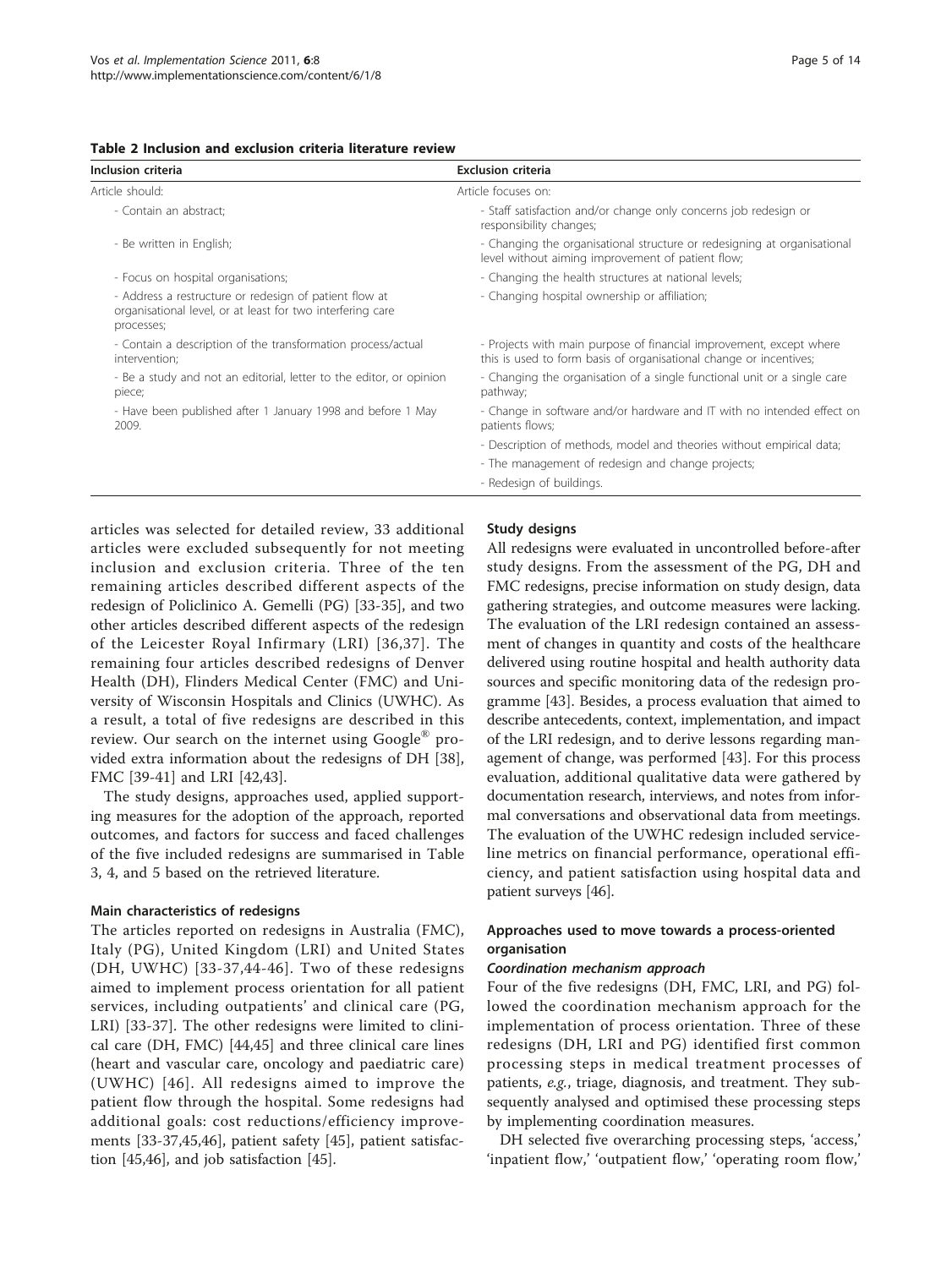<span id="page-4-0"></span>

| Table 2 Inclusion and exclusion criteria literature review |  |
|------------------------------------------------------------|--|
|------------------------------------------------------------|--|

| Inclusion criteria                                                                                                                 | <b>Exclusion criteria</b>                                                                                                                 |  |
|------------------------------------------------------------------------------------------------------------------------------------|-------------------------------------------------------------------------------------------------------------------------------------------|--|
| Article should:                                                                                                                    | Article focuses on:                                                                                                                       |  |
| - Contain an abstract;                                                                                                             | - Staff satisfaction and/or change only concerns job redesign or<br>responsibility changes;                                               |  |
| - Be written in English;                                                                                                           | - Changing the organisational structure or redesigning at organisational<br>level without aiming improvement of patient flow;             |  |
| - Focus on hospital organisations;                                                                                                 | - Changing the health structures at national levels;                                                                                      |  |
| - Address a restructure or redesign of patient flow at<br>organisational level, or at least for two interfering care<br>processes; | - Changing hospital ownership or affiliation;                                                                                             |  |
| - Contain a description of the transformation process/actual<br>intervention;                                                      | - Projects with main purpose of financial improvement, except where<br>this is used to form basis of organisational change or incentives; |  |
| - Be a study and not an editorial, letter to the editor, or opinion<br>piece;                                                      | - Changing the organisation of a single functional unit or a single care<br>pathway;                                                      |  |
| - Have been published after 1 January 1998 and before 1 May<br>2009.                                                               | - Change in software and/or hardware and IT with no intended effect on<br>patients flows;                                                 |  |
|                                                                                                                                    | - Description of methods, model and theories without empirical data;                                                                      |  |
|                                                                                                                                    | - The management of redesign and change projects;                                                                                         |  |
|                                                                                                                                    | - Redesign of buildings.                                                                                                                  |  |

articles was selected for detailed review, 33 additional articles were excluded subsequently for not meeting inclusion and exclusion criteria. Three of the ten remaining articles described different aspects of the redesign of Policlinico A. Gemelli (PG) [\[33-35](#page-12-0)], and two other articles described different aspects of the redesign of the Leicester Royal Infirmary (LRI) [[36,37](#page-13-0)]. The remaining four articles described redesigns of Denver Health (DH), Flinders Medical Center (FMC) and University of Wisconsin Hospitals and Clinics (UWHC). As a result, a total of five redesigns are described in this review. Our search on the internet using Google<sup>®</sup> provided extra information about the redesigns of DH [\[38](#page-13-0)], FMC [[39-41\]](#page-13-0) and LRI [[42](#page-13-0),[43](#page-13-0)].

The study designs, approaches used, applied supporting measures for the adoption of the approach, reported outcomes, and factors for success and faced challenges of the five included redesigns are summarised in Table [3,](#page-6-0) [4,](#page-7-0) and [5](#page-8-0) based on the retrieved literature.

#### Main characteristics of redesigns

The articles reported on redesigns in Australia (FMC), Italy (PG), United Kingdom (LRI) and United States (DH, UWHC) [[33-](#page-12-0)[37](#page-13-0),[44](#page-13-0)-[46\]](#page-13-0). Two of these redesigns aimed to implement process orientation for all patient services, including outpatients' and clinical care (PG, LRI) [[33-](#page-12-0)[37](#page-13-0)]. The other redesigns were limited to clinical care (DH, FMC) [[44](#page-13-0),[45\]](#page-13-0) and three clinical care lines (heart and vascular care, oncology and paediatric care) (UWHC) [[46\]](#page-13-0). All redesigns aimed to improve the patient flow through the hospital. Some redesigns had additional goals: cost reductions/efficiency improvements [\[33](#page-12-0)-[37,45,46\]](#page-13-0), patient safety [[45\]](#page-13-0), patient satisfaction [\[45,46\]](#page-13-0), and job satisfaction [\[45](#page-13-0)].

# Study designs

All redesigns were evaluated in uncontrolled before-after study designs. From the assessment of the PG, DH and FMC redesigns, precise information on study design, data gathering strategies, and outcome measures were lacking. The evaluation of the LRI redesign contained an assessment of changes in quantity and costs of the healthcare delivered using routine hospital and health authority data sources and specific monitoring data of the redesign programme [\[43](#page-13-0)]. Besides, a process evaluation that aimed to describe antecedents, context, implementation, and impact of the LRI redesign, and to derive lessons regarding management of change, was performed [[43\]](#page-13-0). For this process evaluation, additional qualitative data were gathered by documentation research, interviews, and notes from informal conversations and observational data from meetings. The evaluation of the UWHC redesign included serviceline metrics on financial performance, operational efficiency, and patient satisfaction using hospital data and patient surveys [[46](#page-13-0)].

#### Approaches used to move towards a process-oriented organisation

#### Coordination mechanism approach

Four of the five redesigns (DH, FMC, LRI, and PG) followed the coordination mechanism approach for the implementation of process orientation. Three of these redesigns (DH, LRI and PG) identified first common processing steps in medical treatment processes of patients, e.g., triage, diagnosis, and treatment. They subsequently analysed and optimised these processing steps by implementing coordination measures.

DH selected five overarching processing steps, 'access,' 'inpatient flow,' 'outpatient flow,' 'operating room flow,'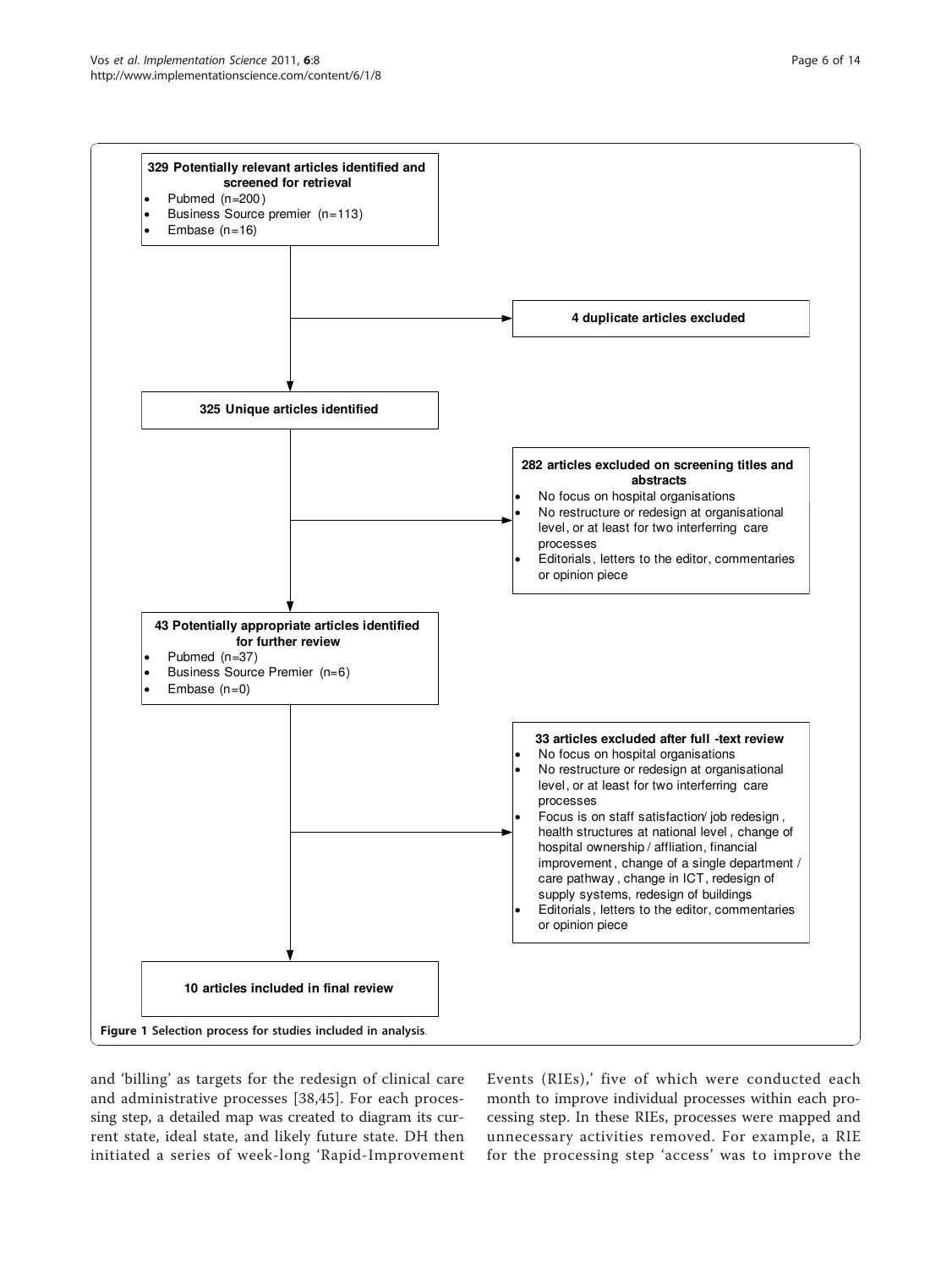<span id="page-5-0"></span>

and 'billing' as targets for the redesign of clinical care and administrative processes [[38,45](#page-13-0)]. For each processing step, a detailed map was created to diagram its current state, ideal state, and likely future state. DH then initiated a series of week-long 'Rapid-Improvement Events (RIEs),' five of which were conducted each month to improve individual processes within each processing step. In these RIEs, processes were mapped and unnecessary activities removed. For example, a RIE for the processing step 'access' was to improve the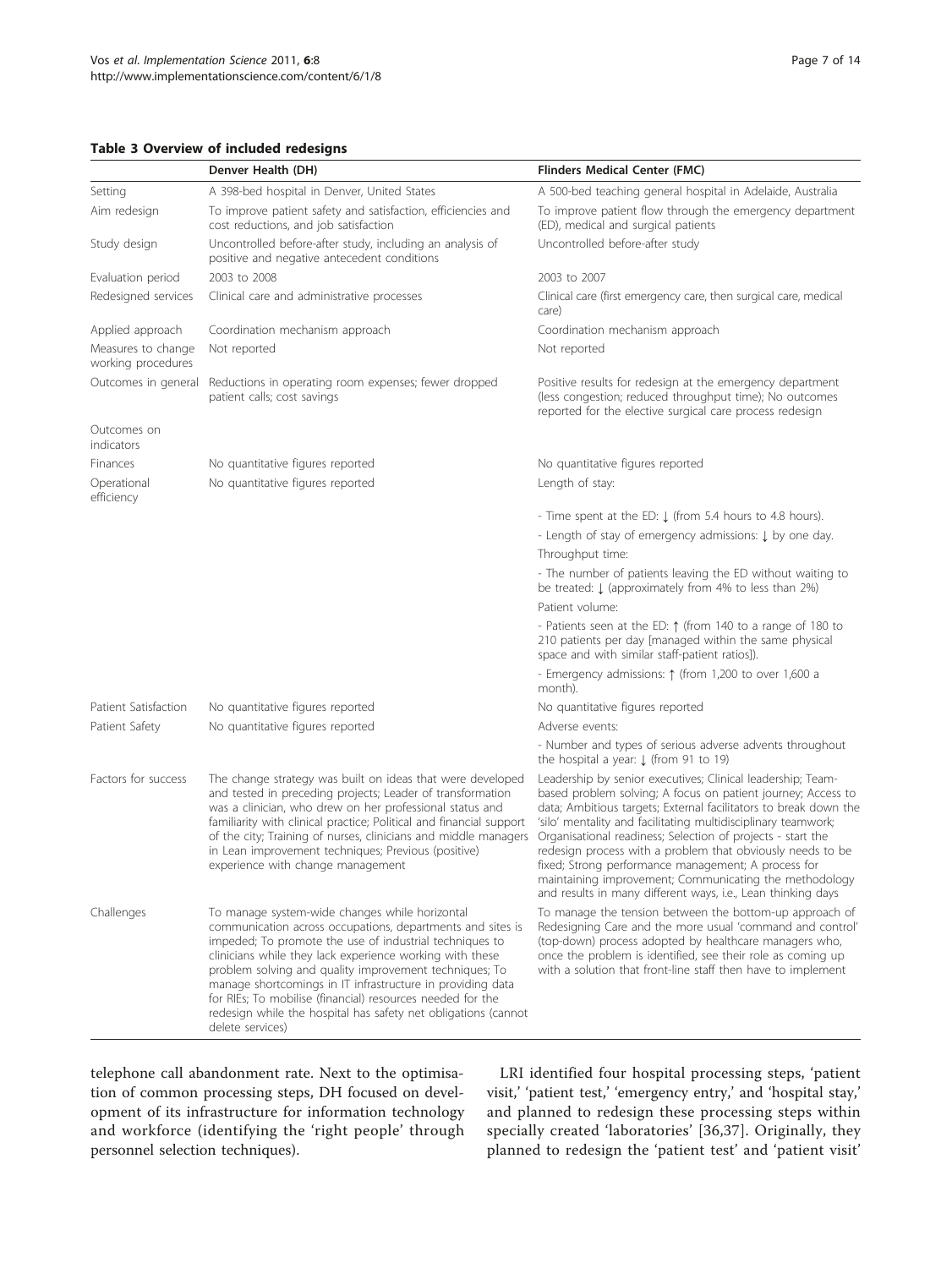#### <span id="page-6-0"></span>Table 3 Overview of included redesigns

|                                          | Denver Health (DH)                                                                                                                                                                                                                                                                                                                                                                                                                                                                                              | <b>Flinders Medical Center (FMC)</b>                                                                                                                                                                                                                                                                                                                                                                                                                                                                                                                                           |
|------------------------------------------|-----------------------------------------------------------------------------------------------------------------------------------------------------------------------------------------------------------------------------------------------------------------------------------------------------------------------------------------------------------------------------------------------------------------------------------------------------------------------------------------------------------------|--------------------------------------------------------------------------------------------------------------------------------------------------------------------------------------------------------------------------------------------------------------------------------------------------------------------------------------------------------------------------------------------------------------------------------------------------------------------------------------------------------------------------------------------------------------------------------|
| Setting                                  | A 398-bed hospital in Denver, United States                                                                                                                                                                                                                                                                                                                                                                                                                                                                     | A 500-bed teaching general hospital in Adelaide, Australia                                                                                                                                                                                                                                                                                                                                                                                                                                                                                                                     |
| Aim redesign                             | To improve patient safety and satisfaction, efficiencies and<br>cost reductions, and job satisfaction                                                                                                                                                                                                                                                                                                                                                                                                           | To improve patient flow through the emergency department<br>(ED), medical and surgical patients                                                                                                                                                                                                                                                                                                                                                                                                                                                                                |
| Study design                             | Uncontrolled before-after study, including an analysis of<br>positive and negative antecedent conditions                                                                                                                                                                                                                                                                                                                                                                                                        | Uncontrolled before-after study                                                                                                                                                                                                                                                                                                                                                                                                                                                                                                                                                |
| Evaluation period                        | 2003 to 2008                                                                                                                                                                                                                                                                                                                                                                                                                                                                                                    | 2003 to 2007                                                                                                                                                                                                                                                                                                                                                                                                                                                                                                                                                                   |
| Redesigned services                      | Clinical care and administrative processes                                                                                                                                                                                                                                                                                                                                                                                                                                                                      | Clinical care (first emergency care, then surgical care, medical<br>care)                                                                                                                                                                                                                                                                                                                                                                                                                                                                                                      |
| Applied approach                         | Coordination mechanism approach                                                                                                                                                                                                                                                                                                                                                                                                                                                                                 | Coordination mechanism approach                                                                                                                                                                                                                                                                                                                                                                                                                                                                                                                                                |
| Measures to change<br>working procedures | Not reported                                                                                                                                                                                                                                                                                                                                                                                                                                                                                                    | Not reported                                                                                                                                                                                                                                                                                                                                                                                                                                                                                                                                                                   |
| Outcomes in general                      | Reductions in operating room expenses; fewer dropped<br>patient calls; cost savings                                                                                                                                                                                                                                                                                                                                                                                                                             | Positive results for redesign at the emergency department<br>(less congestion; reduced throughput time); No outcomes<br>reported for the elective surgical care process redesign                                                                                                                                                                                                                                                                                                                                                                                               |
| Outcomes on<br>indicators                |                                                                                                                                                                                                                                                                                                                                                                                                                                                                                                                 |                                                                                                                                                                                                                                                                                                                                                                                                                                                                                                                                                                                |
| Finances                                 | No quantitative figures reported                                                                                                                                                                                                                                                                                                                                                                                                                                                                                | No quantitative figures reported                                                                                                                                                                                                                                                                                                                                                                                                                                                                                                                                               |
| Operational<br>efficiency                | No quantitative figures reported                                                                                                                                                                                                                                                                                                                                                                                                                                                                                | Length of stay:                                                                                                                                                                                                                                                                                                                                                                                                                                                                                                                                                                |
|                                          |                                                                                                                                                                                                                                                                                                                                                                                                                                                                                                                 | - Time spent at the ED: $\downarrow$ (from 5.4 hours to 4.8 hours).                                                                                                                                                                                                                                                                                                                                                                                                                                                                                                            |
|                                          |                                                                                                                                                                                                                                                                                                                                                                                                                                                                                                                 | - Length of stay of emergency admissions: $\downarrow$ by one day.                                                                                                                                                                                                                                                                                                                                                                                                                                                                                                             |
|                                          |                                                                                                                                                                                                                                                                                                                                                                                                                                                                                                                 | Throughput time:                                                                                                                                                                                                                                                                                                                                                                                                                                                                                                                                                               |
|                                          |                                                                                                                                                                                                                                                                                                                                                                                                                                                                                                                 | - The number of patients leaving the ED without waiting to<br>be treated: $\downarrow$ (approximately from 4% to less than 2%)                                                                                                                                                                                                                                                                                                                                                                                                                                                 |
|                                          |                                                                                                                                                                                                                                                                                                                                                                                                                                                                                                                 | Patient volume:                                                                                                                                                                                                                                                                                                                                                                                                                                                                                                                                                                |
|                                          |                                                                                                                                                                                                                                                                                                                                                                                                                                                                                                                 | - Patients seen at the ED: $\uparrow$ (from 140 to a range of 180 to<br>210 patients per day [managed within the same physical<br>space and with similar staff-patient ratios]).                                                                                                                                                                                                                                                                                                                                                                                               |
|                                          |                                                                                                                                                                                                                                                                                                                                                                                                                                                                                                                 | - Emergency admissions: $\uparrow$ (from 1,200 to over 1,600 a<br>month).                                                                                                                                                                                                                                                                                                                                                                                                                                                                                                      |
| Patient Satisfaction                     | No quantitative figures reported                                                                                                                                                                                                                                                                                                                                                                                                                                                                                | No quantitative figures reported                                                                                                                                                                                                                                                                                                                                                                                                                                                                                                                                               |
| Patient Safety                           | No quantitative figures reported                                                                                                                                                                                                                                                                                                                                                                                                                                                                                | Adverse events:                                                                                                                                                                                                                                                                                                                                                                                                                                                                                                                                                                |
|                                          |                                                                                                                                                                                                                                                                                                                                                                                                                                                                                                                 | - Number and types of serious adverse advents throughout<br>the hospital a year: $\downarrow$ (from 91 to 19)                                                                                                                                                                                                                                                                                                                                                                                                                                                                  |
| Factors for success                      | The change strategy was built on ideas that were developed<br>and tested in preceding projects; Leader of transformation<br>was a clinician, who drew on her professional status and<br>familiarity with clinical practice; Political and financial support<br>of the city; Training of nurses, clinicians and middle managers<br>in Lean improvement techniques; Previous (positive)<br>experience with change management                                                                                      | Leadership by senior executives; Clinical leadership; Team-<br>based problem solving; A focus on patient journey; Access to<br>data; Ambitious targets; External facilitators to break down the<br>'silo' mentality and facilitating multidisciplinary teamwork;<br>Organisational readiness; Selection of projects - start the<br>redesign process with a problem that obviously needs to be<br>fixed; Strong performance management; A process for<br>maintaining improvement; Communicating the methodology<br>and results in many different ways, i.e., Lean thinking days |
| Challenges                               | To manage system-wide changes while horizontal<br>communication across occupations, departments and sites is<br>impeded; To promote the use of industrial techniques to<br>clinicians while they lack experience working with these<br>problem solving and quality improvement techniques; To<br>manage shortcomings in IT infrastructure in providing data<br>for RIEs; To mobilise (financial) resources needed for the<br>redesign while the hospital has safety net obligations (cannot<br>delete services) | To manage the tension between the bottom-up approach of<br>Redesigning Care and the more usual 'command and control'<br>(top-down) process adopted by healthcare managers who,<br>once the problem is identified, see their role as coming up<br>with a solution that front-line staff then have to implement                                                                                                                                                                                                                                                                  |

telephone call abandonment rate. Next to the optimisation of common processing steps, DH focused on development of its infrastructure for information technology and workforce (identifying the 'right people' through personnel selection techniques).

LRI identified four hospital processing steps, 'patient visit,' 'patient test,' 'emergency entry,' and 'hospital stay,' and planned to redesign these processing steps within specially created 'laboratories' [\[36,37](#page-13-0)]. Originally, they planned to redesign the 'patient test' and 'patient visit'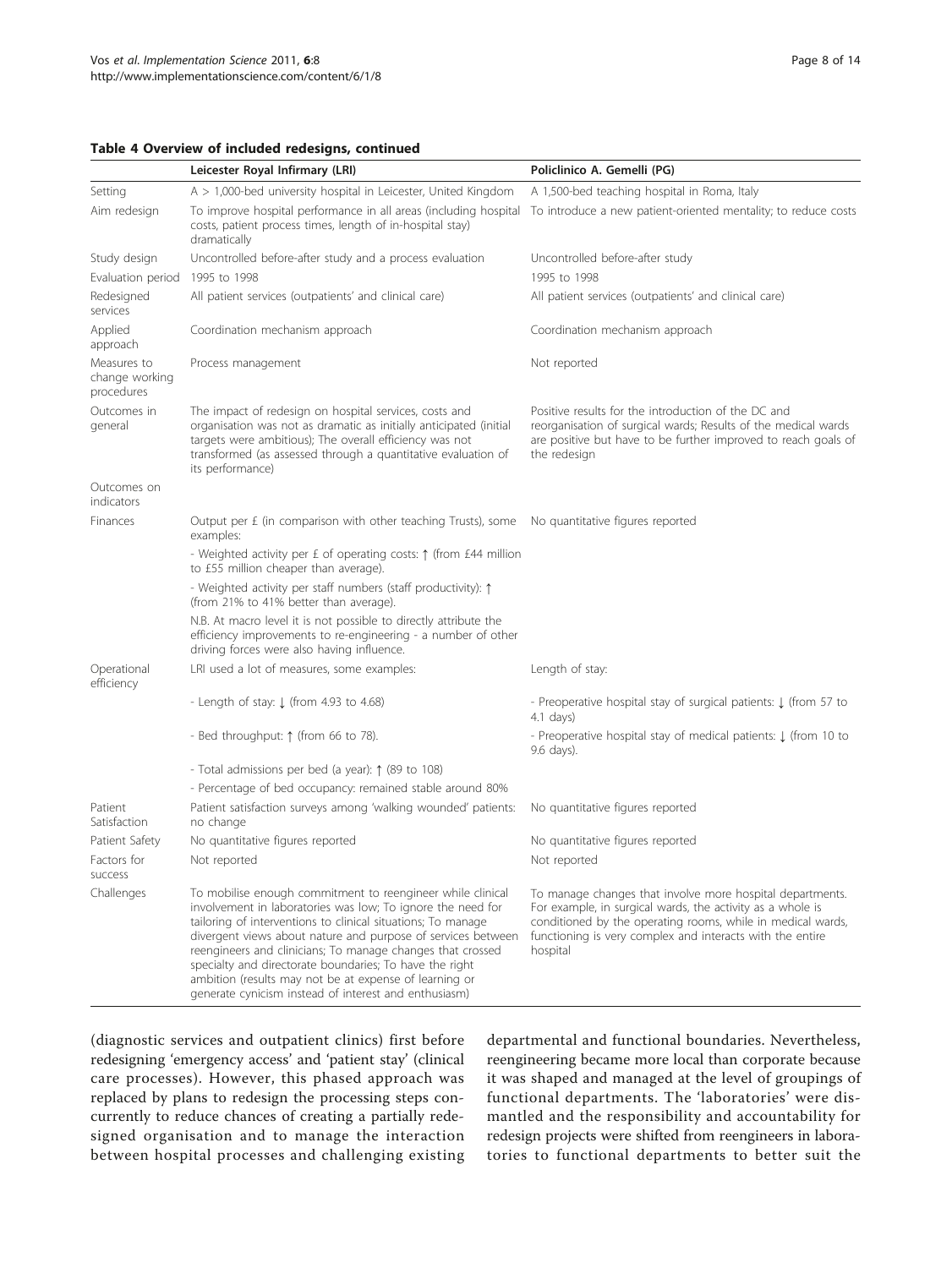#### <span id="page-7-0"></span>Table 4 Overview of included redesigns, continued

|                                             | Leicester Royal Infirmary (LRI)                                                                                                                                                                                                                                                                                                                                                                                                                                                                       | Policlinico A. Gemelli (PG)                                                                                                                                                                                                                                     |
|---------------------------------------------|-------------------------------------------------------------------------------------------------------------------------------------------------------------------------------------------------------------------------------------------------------------------------------------------------------------------------------------------------------------------------------------------------------------------------------------------------------------------------------------------------------|-----------------------------------------------------------------------------------------------------------------------------------------------------------------------------------------------------------------------------------------------------------------|
| Setting                                     | $A > 1,000$ -bed university hospital in Leicester, United Kingdom                                                                                                                                                                                                                                                                                                                                                                                                                                     | A 1,500-bed teaching hospital in Roma, Italy                                                                                                                                                                                                                    |
| Aim redesign                                | To improve hospital performance in all areas (including hospital<br>costs, patient process times, length of in-hospital stay)<br>dramatically                                                                                                                                                                                                                                                                                                                                                         | To introduce a new patient-oriented mentality; to reduce costs                                                                                                                                                                                                  |
| Study design                                | Uncontrolled before-after study and a process evaluation                                                                                                                                                                                                                                                                                                                                                                                                                                              | Uncontrolled before-after study                                                                                                                                                                                                                                 |
| Evaluation period                           | 1995 to 1998                                                                                                                                                                                                                                                                                                                                                                                                                                                                                          | 1995 to 1998                                                                                                                                                                                                                                                    |
| Redesigned<br>services                      | All patient services (outpatients' and clinical care)                                                                                                                                                                                                                                                                                                                                                                                                                                                 | All patient services (outpatients' and clinical care)                                                                                                                                                                                                           |
| Applied<br>approach                         | Coordination mechanism approach                                                                                                                                                                                                                                                                                                                                                                                                                                                                       | Coordination mechanism approach                                                                                                                                                                                                                                 |
| Measures to<br>change working<br>procedures | Process management                                                                                                                                                                                                                                                                                                                                                                                                                                                                                    | Not reported                                                                                                                                                                                                                                                    |
| Outcomes in<br>general                      | The impact of redesign on hospital services, costs and<br>organisation was not as dramatic as initially anticipated (initial<br>targets were ambitious); The overall efficiency was not<br>transformed (as assessed through a quantitative evaluation of<br>its performance)                                                                                                                                                                                                                          | Positive results for the introduction of the DC and<br>reorganisation of surgical wards; Results of the medical wards<br>are positive but have to be further improved to reach goals of<br>the redesign                                                         |
| Outcomes on<br>indicators                   |                                                                                                                                                                                                                                                                                                                                                                                                                                                                                                       |                                                                                                                                                                                                                                                                 |
| Finances                                    | Output per £ (in comparison with other teaching Trusts), some    No quantitative figures reported<br>examples:                                                                                                                                                                                                                                                                                                                                                                                        |                                                                                                                                                                                                                                                                 |
|                                             | - Weighted activity per £ of operating costs: $\uparrow$ (from £44 million<br>to £55 million cheaper than average).                                                                                                                                                                                                                                                                                                                                                                                   |                                                                                                                                                                                                                                                                 |
|                                             | - Weighted activity per staff numbers (staff productivity): 1<br>(from 21% to 41% better than average).                                                                                                                                                                                                                                                                                                                                                                                               |                                                                                                                                                                                                                                                                 |
|                                             | N.B. At macro level it is not possible to directly attribute the<br>efficiency improvements to re-engineering - a number of other<br>driving forces were also having influence.                                                                                                                                                                                                                                                                                                                       |                                                                                                                                                                                                                                                                 |
| Operational<br>efficiency                   | LRI used a lot of measures, some examples:                                                                                                                                                                                                                                                                                                                                                                                                                                                            | Length of stay:                                                                                                                                                                                                                                                 |
|                                             | - Length of stay: $\downarrow$ (from 4.93 to 4.68)                                                                                                                                                                                                                                                                                                                                                                                                                                                    | - Preoperative hospital stay of surgical patients: $\downarrow$ (from 57 to<br>$4.1$ days)                                                                                                                                                                      |
|                                             | - Bed throughput: $\uparrow$ (from 66 to 78).                                                                                                                                                                                                                                                                                                                                                                                                                                                         | - Preoperative hospital stay of medical patients: $\int$ (from 10 to<br>9.6 days).                                                                                                                                                                              |
|                                             | - Total admissions per bed (a year): $\uparrow$ (89 to 108)                                                                                                                                                                                                                                                                                                                                                                                                                                           |                                                                                                                                                                                                                                                                 |
|                                             | - Percentage of bed occupancy: remained stable around 80%                                                                                                                                                                                                                                                                                                                                                                                                                                             |                                                                                                                                                                                                                                                                 |
| Patient<br>Satisfaction                     | Patient satisfaction surveys among 'walking wounded' patients:<br>no change                                                                                                                                                                                                                                                                                                                                                                                                                           | No quantitative figures reported                                                                                                                                                                                                                                |
| Patient Safety                              | No quantitative figures reported                                                                                                                                                                                                                                                                                                                                                                                                                                                                      | No quantitative figures reported                                                                                                                                                                                                                                |
| Factors for<br>success                      | Not reported                                                                                                                                                                                                                                                                                                                                                                                                                                                                                          | Not reported                                                                                                                                                                                                                                                    |
| Challenges                                  | To mobilise enough commitment to reengineer while clinical<br>involvement in laboratories was low; To ignore the need for<br>tailoring of interventions to clinical situations; To manage<br>divergent views about nature and purpose of services between<br>reengineers and clinicians; To manage changes that crossed<br>specialty and directorate boundaries; To have the right<br>ambition (results may not be at expense of learning or<br>generate cynicism instead of interest and enthusiasm) | To manage changes that involve more hospital departments.<br>For example, in surgical wards, the activity as a whole is<br>conditioned by the operating rooms, while in medical wards,<br>functioning is very complex and interacts with the entire<br>hospital |

(diagnostic services and outpatient clinics) first before redesigning 'emergency access' and 'patient stay' (clinical care processes). However, this phased approach was replaced by plans to redesign the processing steps concurrently to reduce chances of creating a partially redesigned organisation and to manage the interaction between hospital processes and challenging existing departmental and functional boundaries. Nevertheless, reengineering became more local than corporate because it was shaped and managed at the level of groupings of functional departments. The 'laboratories' were dismantled and the responsibility and accountability for redesign projects were shifted from reengineers in laboratories to functional departments to better suit the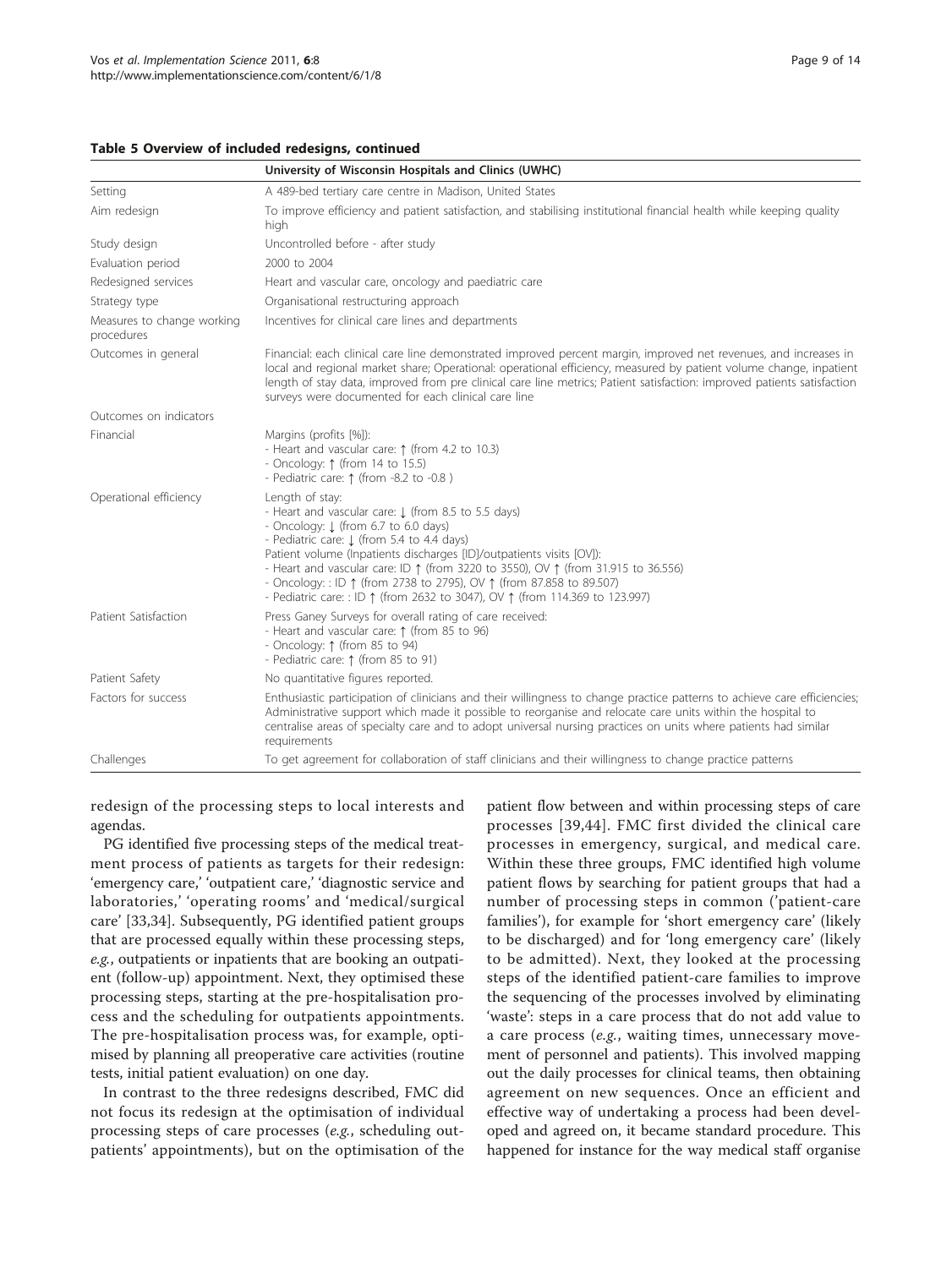#### <span id="page-8-0"></span>Table 5 Overview of included redesigns, continued

|                                          | University of Wisconsin Hospitals and Clinics (UWHC)                                                                                                                                                                                                                                                                                                                                                                                                                                                                                                           |
|------------------------------------------|----------------------------------------------------------------------------------------------------------------------------------------------------------------------------------------------------------------------------------------------------------------------------------------------------------------------------------------------------------------------------------------------------------------------------------------------------------------------------------------------------------------------------------------------------------------|
| Setting                                  | A 489-bed tertiary care centre in Madison, United States                                                                                                                                                                                                                                                                                                                                                                                                                                                                                                       |
| Aim redesign                             | To improve efficiency and patient satisfaction, and stabilising institutional financial health while keeping quality<br>high                                                                                                                                                                                                                                                                                                                                                                                                                                   |
| Study design                             | Uncontrolled before - after study                                                                                                                                                                                                                                                                                                                                                                                                                                                                                                                              |
| Evaluation period                        | 2000 to 2004                                                                                                                                                                                                                                                                                                                                                                                                                                                                                                                                                   |
| Redesigned services                      | Heart and vascular care, oncology and paediatric care                                                                                                                                                                                                                                                                                                                                                                                                                                                                                                          |
| Strategy type                            | Organisational restructuring approach                                                                                                                                                                                                                                                                                                                                                                                                                                                                                                                          |
| Measures to change working<br>procedures | Incentives for clinical care lines and departments                                                                                                                                                                                                                                                                                                                                                                                                                                                                                                             |
| Outcomes in general                      | Financial: each clinical care line demonstrated improved percent margin, improved net revenues, and increases in<br>local and regional market share; Operational: operational efficiency, measured by patient volume change, inpatient<br>length of stay data, improved from pre clinical care line metrics; Patient satisfaction: improved patients satisfaction<br>surveys were documented for each clinical care line                                                                                                                                       |
| Outcomes on indicators                   |                                                                                                                                                                                                                                                                                                                                                                                                                                                                                                                                                                |
| Financial                                | Margins (profits [%]):<br>- Heart and vascular care: $\uparrow$ (from 4.2 to 10.3)<br>- Oncology: 1 (from 14 to 15.5)<br>- Pediatric care: $\uparrow$ (from -8.2 to -0.8)                                                                                                                                                                                                                                                                                                                                                                                      |
| Operational efficiency                   | Length of stay:<br>- Heart and vascular care: J. (from 8.5 to 5.5 days)<br>- Oncology: $\downarrow$ (from 6.7 to 6.0 days)<br>- Pediatric care: $\downarrow$ (from 5.4 to 4.4 days)<br>Patient volume (Inpatients discharges [ID]/outpatients visits [OV]):<br>- Heart and vascular care: ID $\uparrow$ (from 3220 to 3550), OV $\uparrow$ (from 31.915 to 36.556)<br>- Oncology: : ID $\uparrow$ (from 2738 to 2795), OV $\uparrow$ (from 87.858 to 89.507)<br>- Pediatric care: : ID $\uparrow$ (from 2632 to 3047), OV $\uparrow$ (from 114.369 to 123.997) |
| Patient Satisfaction                     | Press Ganey Surveys for overall rating of care received:<br>- Heart and vascular care: $\uparrow$ (from 85 to 96)<br>- Oncology: 1 (from 85 to 94)<br>- Pediatric care: 1 (from 85 to 91)                                                                                                                                                                                                                                                                                                                                                                      |
| Patient Safety                           | No quantitative figures reported.                                                                                                                                                                                                                                                                                                                                                                                                                                                                                                                              |
| Factors for success                      | Enthusiastic participation of clinicians and their willingness to change practice patterns to achieve care efficiencies;<br>Administrative support which made it possible to reorganise and relocate care units within the hospital to<br>centralise areas of specialty care and to adopt universal nursing practices on units where patients had similar<br>requirements                                                                                                                                                                                      |
| Challenges                               | To get agreement for collaboration of staff clinicians and their willingness to change practice patterns                                                                                                                                                                                                                                                                                                                                                                                                                                                       |

redesign of the processing steps to local interests and agendas.

PG identified five processing steps of the medical treatment process of patients as targets for their redesign: 'emergency care,' 'outpatient care,' 'diagnostic service and laboratories,' 'operating rooms' and 'medical/surgical care' [[33,34](#page-12-0)]. Subsequently, PG identified patient groups that are processed equally within these processing steps, e.g., outpatients or inpatients that are booking an outpatient (follow-up) appointment. Next, they optimised these processing steps, starting at the pre-hospitalisation process and the scheduling for outpatients appointments. The pre-hospitalisation process was, for example, optimised by planning all preoperative care activities (routine tests, initial patient evaluation) on one day.

In contrast to the three redesigns described, FMC did not focus its redesign at the optimisation of individual processing steps of care processes (e.g., scheduling outpatients' appointments), but on the optimisation of the

patient flow between and within processing steps of care processes [[39,44\]](#page-13-0). FMC first divided the clinical care processes in emergency, surgical, and medical care. Within these three groups, FMC identified high volume patient flows by searching for patient groups that had a number of processing steps in common ('patient-care families'), for example for 'short emergency care' (likely to be discharged) and for 'long emergency care' (likely to be admitted). Next, they looked at the processing steps of the identified patient-care families to improve the sequencing of the processes involved by eliminating 'waste': steps in a care process that do not add value to a care process (e.g., waiting times, unnecessary movement of personnel and patients). This involved mapping out the daily processes for clinical teams, then obtaining agreement on new sequences. Once an efficient and effective way of undertaking a process had been developed and agreed on, it became standard procedure. This happened for instance for the way medical staff organise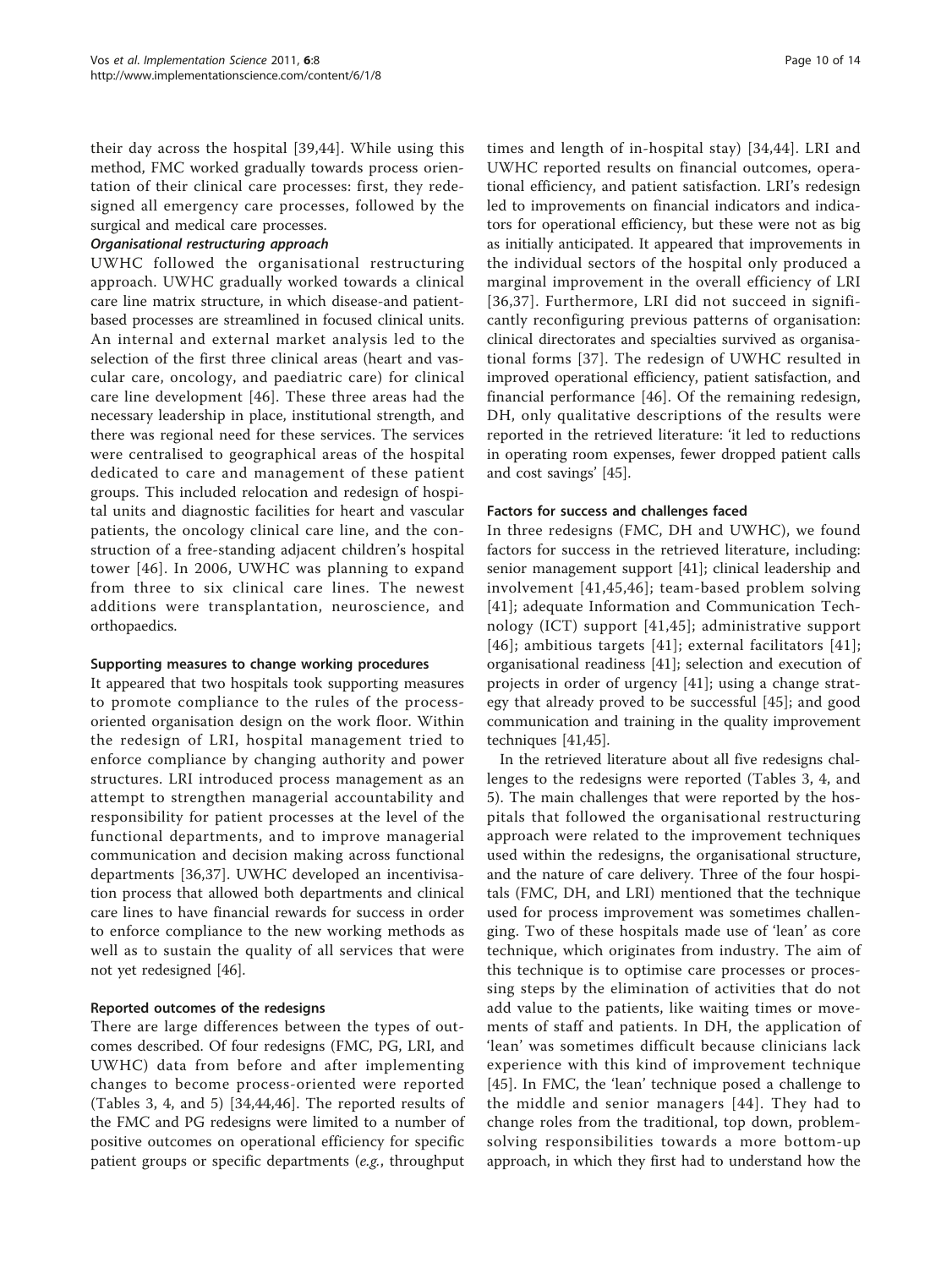their day across the hospital [[39](#page-13-0),[44\]](#page-13-0). While using this method, FMC worked gradually towards process orientation of their clinical care processes: first, they redesigned all emergency care processes, followed by the surgical and medical care processes.

#### Organisational restructuring approach

UWHC followed the organisational restructuring approach. UWHC gradually worked towards a clinical care line matrix structure, in which disease-and patientbased processes are streamlined in focused clinical units. An internal and external market analysis led to the selection of the first three clinical areas (heart and vascular care, oncology, and paediatric care) for clinical care line development [[46](#page-13-0)]. These three areas had the necessary leadership in place, institutional strength, and there was regional need for these services. The services were centralised to geographical areas of the hospital dedicated to care and management of these patient groups. This included relocation and redesign of hospital units and diagnostic facilities for heart and vascular patients, the oncology clinical care line, and the construction of a free-standing adjacent children's hospital tower [[46](#page-13-0)]. In 2006, UWHC was planning to expand from three to six clinical care lines. The newest additions were transplantation, neuroscience, and orthopaedics.

#### Supporting measures to change working procedures

It appeared that two hospitals took supporting measures to promote compliance to the rules of the processoriented organisation design on the work floor. Within the redesign of LRI, hospital management tried to enforce compliance by changing authority and power structures. LRI introduced process management as an attempt to strengthen managerial accountability and responsibility for patient processes at the level of the functional departments, and to improve managerial communication and decision making across functional departments [[36,37\]](#page-13-0). UWHC developed an incentivisation process that allowed both departments and clinical care lines to have financial rewards for success in order to enforce compliance to the new working methods as well as to sustain the quality of all services that were not yet redesigned [[46](#page-13-0)].

# Reported outcomes of the redesigns

There are large differences between the types of outcomes described. Of four redesigns (FMC, PG, LRI, and UWHC) data from before and after implementing changes to become process-oriented were reported (Tables [3](#page-6-0), [4](#page-7-0), and [5\)](#page-8-0) [[34](#page-12-0),[44,46](#page-13-0)]. The reported results of the FMC and PG redesigns were limited to a number of positive outcomes on operational efficiency for specific patient groups or specific departments (e.g., throughput

times and length of in-hospital stay) [[34,](#page-12-0)[44](#page-13-0)]. LRI and UWHC reported results on financial outcomes, operational efficiency, and patient satisfaction. LRI's redesign led to improvements on financial indicators and indicators for operational efficiency, but these were not as big as initially anticipated. It appeared that improvements in the individual sectors of the hospital only produced a marginal improvement in the overall efficiency of LRI [[36,37\]](#page-13-0). Furthermore, LRI did not succeed in significantly reconfiguring previous patterns of organisation: clinical directorates and specialties survived as organisational forms [[37](#page-13-0)]. The redesign of UWHC resulted in improved operational efficiency, patient satisfaction, and financial performance [\[46\]](#page-13-0). Of the remaining redesign, DH, only qualitative descriptions of the results were reported in the retrieved literature: 'it led to reductions in operating room expenses, fewer dropped patient calls and cost savings' [[45\]](#page-13-0).

#### Factors for success and challenges faced

In three redesigns (FMC, DH and UWHC), we found factors for success in the retrieved literature, including: senior management support [[41](#page-13-0)]; clinical leadership and involvement [[41,45](#page-13-0),[46](#page-13-0)]; team-based problem solving [[41](#page-13-0)]; adequate Information and Communication Technology (ICT) support [[41,45\]](#page-13-0); administrative support [[46\]](#page-13-0); ambitious targets [[41](#page-13-0)]; external facilitators [[41](#page-13-0)]; organisational readiness [[41](#page-13-0)]; selection and execution of projects in order of urgency [[41\]](#page-13-0); using a change strategy that already proved to be successful [\[45](#page-13-0)]; and good communication and training in the quality improvement techniques [[41,45](#page-13-0)].

In the retrieved literature about all five redesigns challenges to the redesigns were reported (Tables [3,](#page-6-0) [4,](#page-7-0) and [5\)](#page-8-0). The main challenges that were reported by the hospitals that followed the organisational restructuring approach were related to the improvement techniques used within the redesigns, the organisational structure, and the nature of care delivery. Three of the four hospitals (FMC, DH, and LRI) mentioned that the technique used for process improvement was sometimes challenging. Two of these hospitals made use of 'lean' as core technique, which originates from industry. The aim of this technique is to optimise care processes or processing steps by the elimination of activities that do not add value to the patients, like waiting times or movements of staff and patients. In DH, the application of 'lean' was sometimes difficult because clinicians lack experience with this kind of improvement technique [[45](#page-13-0)]. In FMC, the 'lean' technique posed a challenge to the middle and senior managers [[44](#page-13-0)]. They had to change roles from the traditional, top down, problemsolving responsibilities towards a more bottom-up approach, in which they first had to understand how the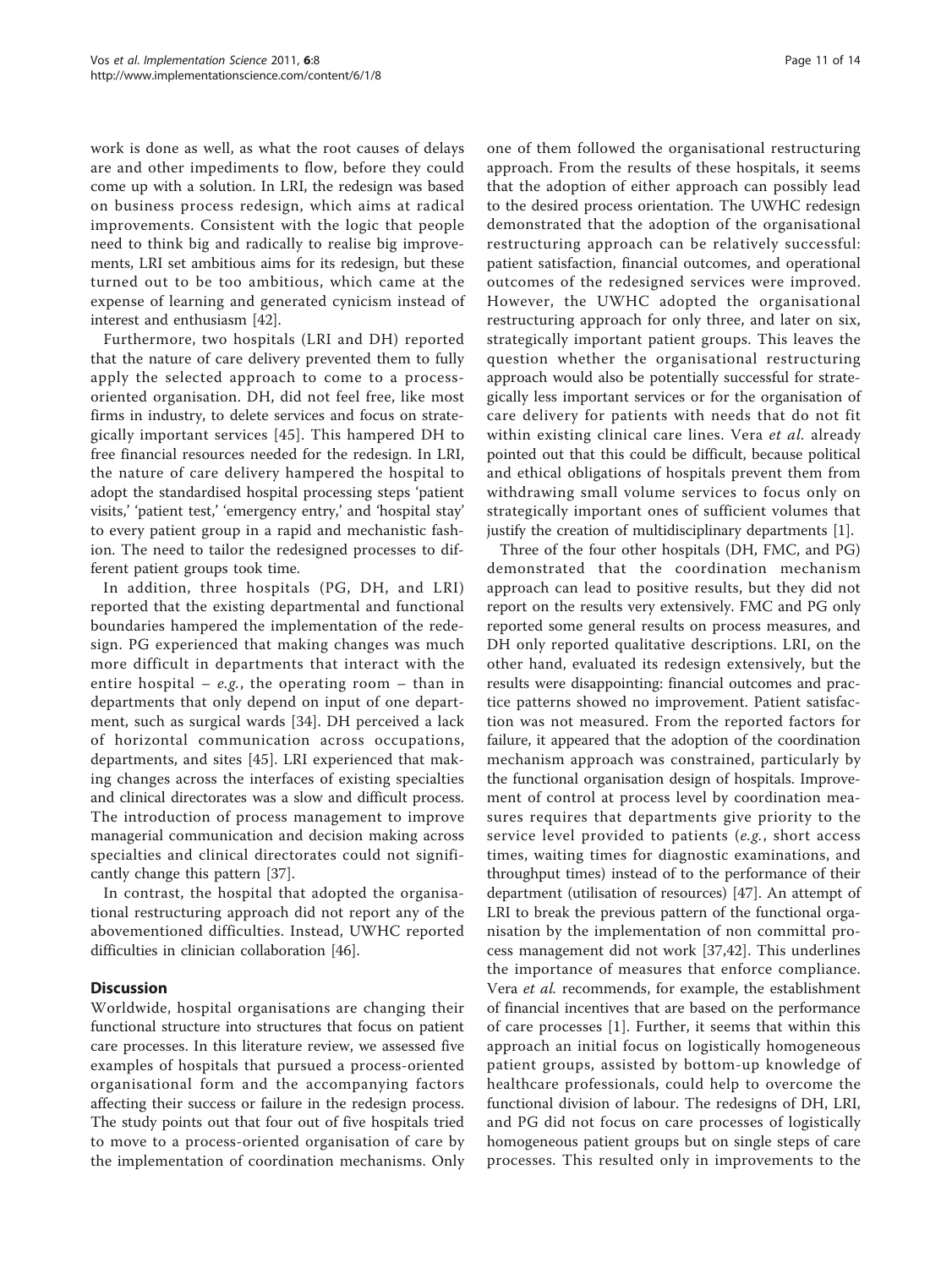work is done as well, as what the root causes of delays are and other impediments to flow, before they could come up with a solution. In LRI, the redesign was based on business process redesign, which aims at radical improvements. Consistent with the logic that people need to think big and radically to realise big improvements, LRI set ambitious aims for its redesign, but these turned out to be too ambitious, which came at the expense of learning and generated cynicism instead of interest and enthusiasm [\[42\]](#page-13-0).

Furthermore, two hospitals (LRI and DH) reported that the nature of care delivery prevented them to fully apply the selected approach to come to a processoriented organisation. DH, did not feel free, like most firms in industry, to delete services and focus on strategically important services [[45](#page-13-0)]. This hampered DH to free financial resources needed for the redesign. In LRI, the nature of care delivery hampered the hospital to adopt the standardised hospital processing steps 'patient visits,' 'patient test,' 'emergency entry,' and 'hospital stay' to every patient group in a rapid and mechanistic fashion. The need to tailor the redesigned processes to different patient groups took time.

In addition, three hospitals (PG, DH, and LRI) reported that the existing departmental and functional boundaries hampered the implementation of the redesign. PG experienced that making changes was much more difficult in departments that interact with the entire hospital – *e.g.*, the operating room – than in departments that only depend on input of one department, such as surgical wards [\[34](#page-12-0)]. DH perceived a lack of horizontal communication across occupations, departments, and sites [\[45](#page-13-0)]. LRI experienced that making changes across the interfaces of existing specialties and clinical directorates was a slow and difficult process. The introduction of process management to improve managerial communication and decision making across specialties and clinical directorates could not significantly change this pattern [[37](#page-13-0)].

In contrast, the hospital that adopted the organisational restructuring approach did not report any of the abovementioned difficulties. Instead, UWHC reported difficulties in clinician collaboration [\[46\]](#page-13-0).

# **Discussion**

Worldwide, hospital organisations are changing their functional structure into structures that focus on patient care processes. In this literature review, we assessed five examples of hospitals that pursued a process-oriented organisational form and the accompanying factors affecting their success or failure in the redesign process. The study points out that four out of five hospitals tried to move to a process-oriented organisation of care by the implementation of coordination mechanisms. Only one of them followed the organisational restructuring approach. From the results of these hospitals, it seems that the adoption of either approach can possibly lead to the desired process orientation. The UWHC redesign demonstrated that the adoption of the organisational restructuring approach can be relatively successful: patient satisfaction, financial outcomes, and operational outcomes of the redesigned services were improved. However, the UWHC adopted the organisational restructuring approach for only three, and later on six, strategically important patient groups. This leaves the question whether the organisational restructuring approach would also be potentially successful for strategically less important services or for the organisation of care delivery for patients with needs that do not fit within existing clinical care lines. Vera et al. already pointed out that this could be difficult, because political and ethical obligations of hospitals prevent them from withdrawing small volume services to focus only on strategically important ones of sufficient volumes that justify the creation of multidisciplinary departments [\[1](#page-12-0)].

Three of the four other hospitals (DH, FMC, and PG) demonstrated that the coordination mechanism approach can lead to positive results, but they did not report on the results very extensively. FMC and PG only reported some general results on process measures, and DH only reported qualitative descriptions. LRI, on the other hand, evaluated its redesign extensively, but the results were disappointing: financial outcomes and practice patterns showed no improvement. Patient satisfaction was not measured. From the reported factors for failure, it appeared that the adoption of the coordination mechanism approach was constrained, particularly by the functional organisation design of hospitals. Improvement of control at process level by coordination measures requires that departments give priority to the service level provided to patients (e.g., short access times, waiting times for diagnostic examinations, and throughput times) instead of to the performance of their department (utilisation of resources) [[47](#page-13-0)]. An attempt of LRI to break the previous pattern of the functional organisation by the implementation of non committal process management did not work [[37](#page-13-0),[42\]](#page-13-0). This underlines the importance of measures that enforce compliance. Vera et al. recommends, for example, the establishment of financial incentives that are based on the performance of care processes [[1\]](#page-12-0). Further, it seems that within this approach an initial focus on logistically homogeneous patient groups, assisted by bottom-up knowledge of healthcare professionals, could help to overcome the functional division of labour. The redesigns of DH, LRI, and PG did not focus on care processes of logistically homogeneous patient groups but on single steps of care processes. This resulted only in improvements to the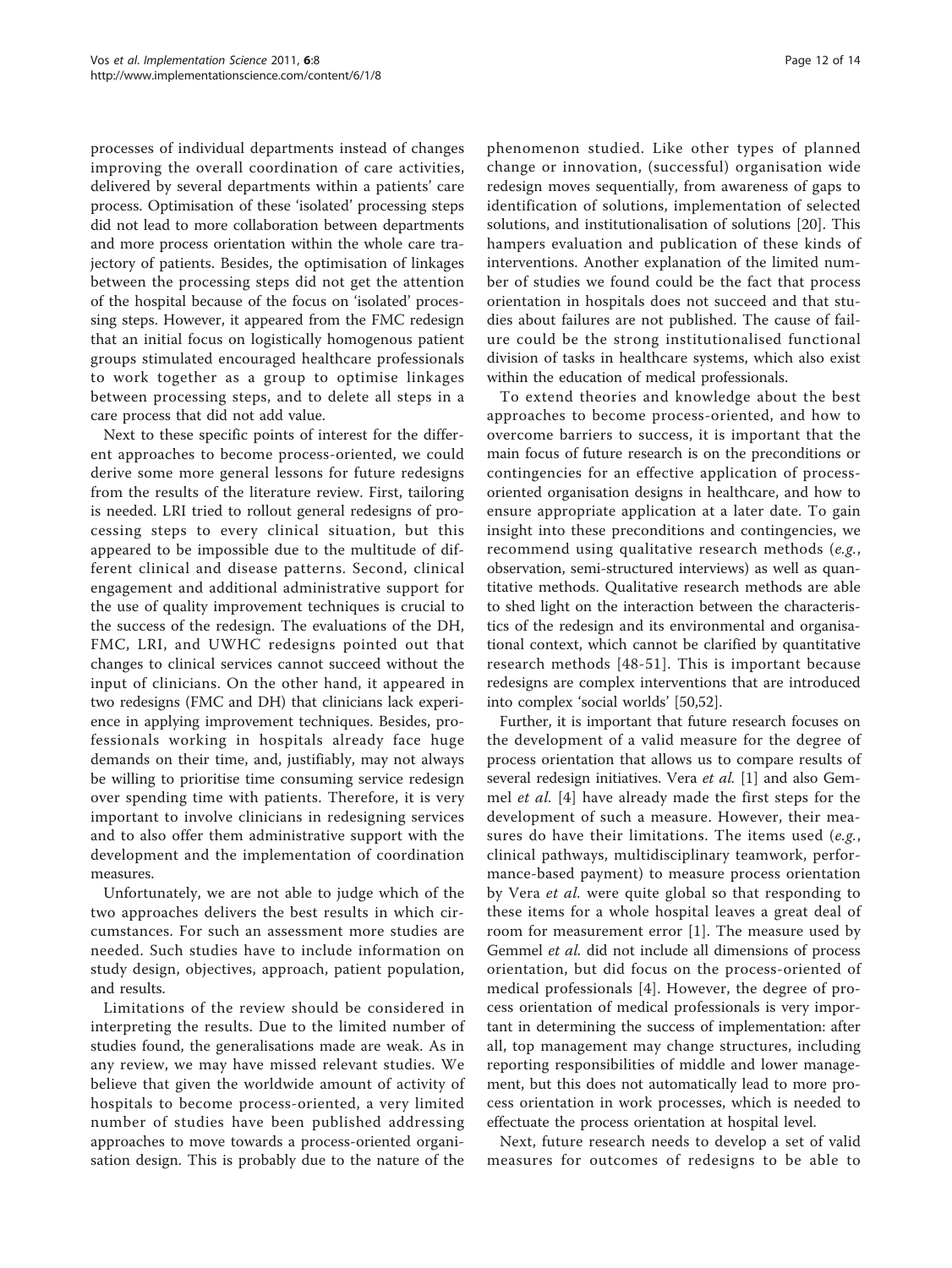processes of individual departments instead of changes improving the overall coordination of care activities, delivered by several departments within a patients' care process. Optimisation of these 'isolated' processing steps did not lead to more collaboration between departments and more process orientation within the whole care trajectory of patients. Besides, the optimisation of linkages between the processing steps did not get the attention of the hospital because of the focus on 'isolated' processing steps. However, it appeared from the FMC redesign that an initial focus on logistically homogenous patient groups stimulated encouraged healthcare professionals to work together as a group to optimise linkages between processing steps, and to delete all steps in a care process that did not add value.

Next to these specific points of interest for the different approaches to become process-oriented, we could derive some more general lessons for future redesigns from the results of the literature review. First, tailoring is needed. LRI tried to rollout general redesigns of processing steps to every clinical situation, but this appeared to be impossible due to the multitude of different clinical and disease patterns. Second, clinical engagement and additional administrative support for the use of quality improvement techniques is crucial to the success of the redesign. The evaluations of the DH, FMC, LRI, and UWHC redesigns pointed out that changes to clinical services cannot succeed without the input of clinicians. On the other hand, it appeared in two redesigns (FMC and DH) that clinicians lack experience in applying improvement techniques. Besides, professionals working in hospitals already face huge demands on their time, and, justifiably, may not always be willing to prioritise time consuming service redesign over spending time with patients. Therefore, it is very important to involve clinicians in redesigning services and to also offer them administrative support with the development and the implementation of coordination measures.

Unfortunately, we are not able to judge which of the two approaches delivers the best results in which circumstances. For such an assessment more studies are needed. Such studies have to include information on study design, objectives, approach, patient population, and results.

Limitations of the review should be considered in interpreting the results. Due to the limited number of studies found, the generalisations made are weak. As in any review, we may have missed relevant studies. We believe that given the worldwide amount of activity of hospitals to become process-oriented, a very limited number of studies have been published addressing approaches to move towards a process-oriented organisation design. This is probably due to the nature of the

phenomenon studied. Like other types of planned change or innovation, (successful) organisation wide redesign moves sequentially, from awareness of gaps to identification of solutions, implementation of selected solutions, and institutionalisation of solutions [[20](#page-12-0)]. This hampers evaluation and publication of these kinds of interventions. Another explanation of the limited number of studies we found could be the fact that process orientation in hospitals does not succeed and that studies about failures are not published. The cause of fail-

within the education of medical professionals. To extend theories and knowledge about the best approaches to become process-oriented, and how to overcome barriers to success, it is important that the main focus of future research is on the preconditions or contingencies for an effective application of processoriented organisation designs in healthcare, and how to ensure appropriate application at a later date. To gain insight into these preconditions and contingencies, we recommend using qualitative research methods (e.g., observation, semi-structured interviews) as well as quantitative methods. Qualitative research methods are able to shed light on the interaction between the characteristics of the redesign and its environmental and organisational context, which cannot be clarified by quantitative research methods [\[48-51](#page-13-0)]. This is important because redesigns are complex interventions that are introduced into complex 'social worlds' [\[50,52\]](#page-13-0).

ure could be the strong institutionalised functional division of tasks in healthcare systems, which also exist

Further, it is important that future research focuses on the development of a valid measure for the degree of process orientation that allows us to compare results of several redesign initiatives. Vera et al. [[1\]](#page-12-0) and also Gemmel et al. [[4\]](#page-12-0) have already made the first steps for the development of such a measure. However, their measures do have their limitations. The items used  $(e.g.,)$ clinical pathways, multidisciplinary teamwork, performance-based payment) to measure process orientation by Vera et al. were quite global so that responding to these items for a whole hospital leaves a great deal of room for measurement error [[1\]](#page-12-0). The measure used by Gemmel et al. did not include all dimensions of process orientation, but did focus on the process-oriented of medical professionals [[4\]](#page-12-0). However, the degree of process orientation of medical professionals is very important in determining the success of implementation: after all, top management may change structures, including reporting responsibilities of middle and lower management, but this does not automatically lead to more process orientation in work processes, which is needed to effectuate the process orientation at hospital level.

Next, future research needs to develop a set of valid measures for outcomes of redesigns to be able to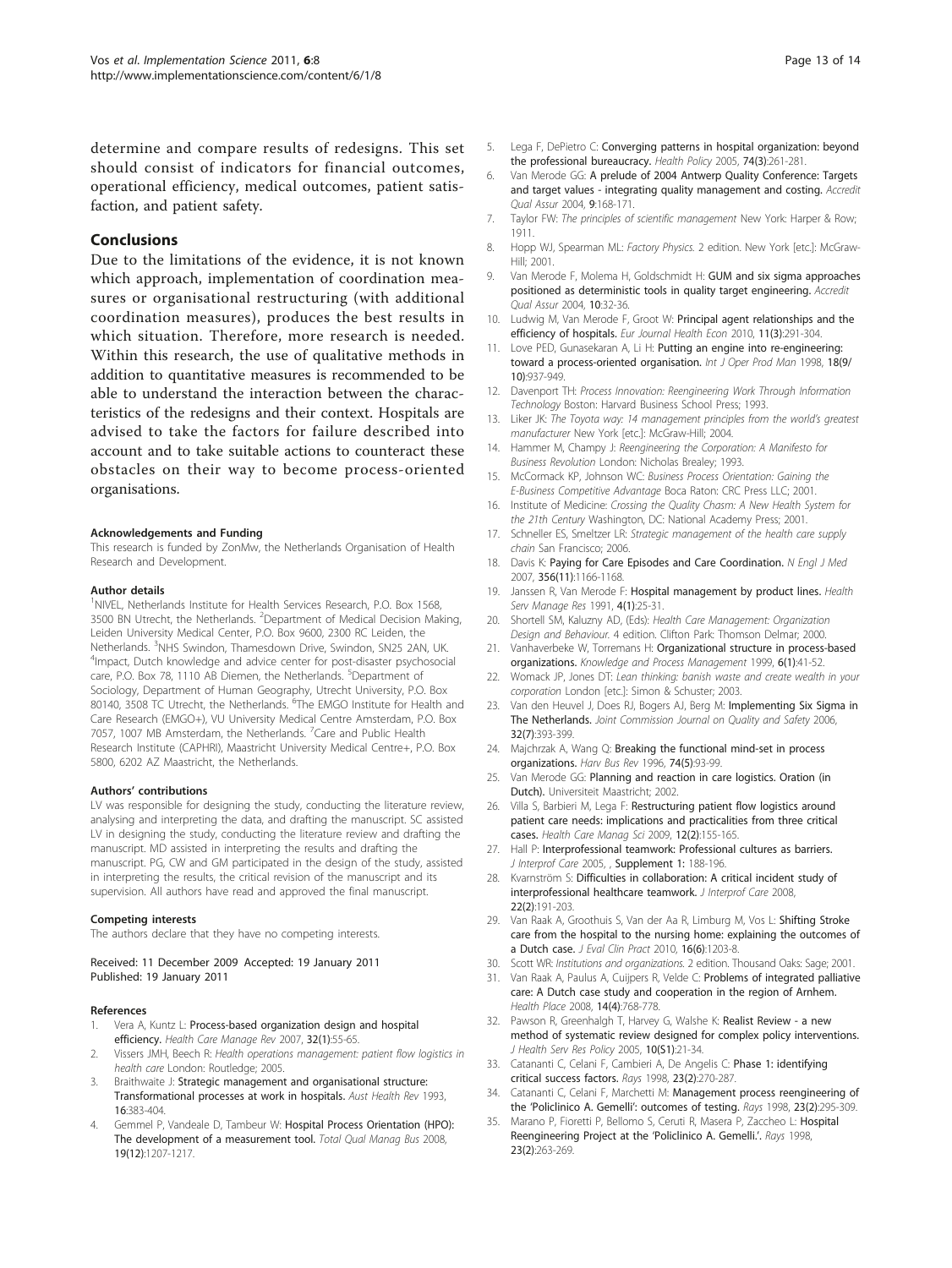<span id="page-12-0"></span>determine and compare results of redesigns. This set should consist of indicators for financial outcomes, operational efficiency, medical outcomes, patient satisfaction, and patient safety.

#### **Conclusions**

Due to the limitations of the evidence, it is not known which approach, implementation of coordination measures or organisational restructuring (with additional coordination measures), produces the best results in which situation. Therefore, more research is needed. Within this research, the use of qualitative methods in addition to quantitative measures is recommended to be able to understand the interaction between the characteristics of the redesigns and their context. Hospitals are advised to take the factors for failure described into account and to take suitable actions to counteract these obstacles on their way to become process-oriented organisations.

#### Acknowledgements and Funding

This research is funded by ZonMw, the Netherlands Organisation of Health Research and Development.

#### Author details

<sup>1</sup>NIVEL, Netherlands Institute for Health Services Research, P.O. Box 1568, 3500 BN Utrecht, the Netherlands. <sup>2</sup>Department of Medical Decision Making, Leiden University Medical Center, P.O. Box 9600, 2300 RC Leiden, the Netherlands. <sup>3</sup>NHS Swindon, Thamesdown Drive, Swindon, SN25 2AN, UK.<br><sup>4</sup>Impact, Dutch knowledge and advice conter for post disaster psychosogi <sup>4</sup>Impact, Dutch knowledge and advice center for post-disaster psychosocial care, P.O. Box 78, 1110 AB Diemen, the Netherlands. <sup>5</sup>Department of Sociology, Department of Human Geography, Utrecht University, P.O. Box 80140, 3508 TC Utrecht, the Netherlands. <sup>6</sup>The EMGO Institute for Health and Care Research (EMGO+), VU University Medical Centre Amsterdam, P.O. Box 7057, 1007 MB Amsterdam, the Netherlands. <sup>7</sup>Care and Public Health Research Institute (CAPHRI), Maastricht University Medical Centre+, P.O. Box 5800, 6202 AZ Maastricht, the Netherlands.

#### Authors' contributions

LV was responsible for designing the study, conducting the literature review, analysing and interpreting the data, and drafting the manuscript. SC assisted LV in designing the study, conducting the literature review and drafting the manuscript. MD assisted in interpreting the results and drafting the manuscript. PG, CW and GM participated in the design of the study, assisted in interpreting the results, the critical revision of the manuscript and its supervision. All authors have read and approved the final manuscript.

#### Competing interests

The authors declare that they have no competing interests.

Received: 11 December 2009 Accepted: 19 January 2011 Published: 19 January 2011

#### References

- 1. Vera A, Kuntz L: [Process-based organization design and hospital](http://www.ncbi.nlm.nih.gov/pubmed/17245203?dopt=Abstract) [efficiency.](http://www.ncbi.nlm.nih.gov/pubmed/17245203?dopt=Abstract) Health Care Manage Rev 2007, 32(1):55-65.
- Vissers JMH, Beech R: Health operations management: patient flow logistics in health care London: Routledge; 2005.
- 3. Braithwaite J: [Strategic management and organisational structure:](http://www.ncbi.nlm.nih.gov/pubmed/10138367?dopt=Abstract) [Transformational processes at work in hospitals.](http://www.ncbi.nlm.nih.gov/pubmed/10138367?dopt=Abstract) Aust Health Rev 1993, 16:383-404.
- Gemmel P, Vandeale D, Tambeur W: Hospital Process Orientation (HPO): The development of a measurement tool. Total Qual Manag Bus 2008, 19(12):1207-1217.
- 5. Lega F, DePietro C: [Converging patterns in hospital organization: beyond](http://www.ncbi.nlm.nih.gov/pubmed/16226138?dopt=Abstract) [the professional bureaucracy.](http://www.ncbi.nlm.nih.gov/pubmed/16226138?dopt=Abstract) Health Policy 2005, 74(3):261-281.
- 6. Van Merode GG: A prelude of 2004 Antwerp Quality Conference: Targets and target values - integrating quality management and costing. Accredit Qual Assur 2004, 9:168-171.
- 7. Taylor FW: The principles of scientific management New York: Harper & Row; 1911.
- 8. Hopp WJ, Spearman ML: Factory Physics. 2 edition. New York [etc.]: McGraw-Hill; 2001.
- 9. Van Merode F, Molema H, Goldschmidt H: GUM and six sigma approaches positioned as deterministic tools in quality target engineering. Accredit Qual Assur 2004, 10:32-36.
- 10. Ludwig M, Van Merode F, Groot W: Principal agent relationships and the efficiency of hospitals. Eur Journal Health Econ 2010, 11(3):291-304.
- 11. Love PED, Gunasekaran A, Li H: Putting an engine into re-engineering: toward a process-oriented organisation. Int J Oper Prod Man 1998, 18(9/ 10):937-949.
- 12. Davenport TH: Process Innovation: Reengineering Work Through Information Technology Boston: Harvard Business School Press; 1993.
- 13. Liker JK: The Toyota way: 14 management principles from the world's greatest manufacturer New York [etc.]: McGraw-Hill; 2004.
- 14. Hammer M, Champy J: Reengineering the Corporation: A Manifesto for Business Revolution London: Nicholas Brealey; 1993.
- 15. McCormack KP, Johnson WC: Business Process Orientation: Gaining the E-Business Competitive Advantage Boca Raton: CRC Press LLC; 2001.
- 16. Institute of Medicine: Crossing the Quality Chasm: A New Health System for the 21th Century Washington, DC: National Academy Press; 2001.
- 17. Schneller ES, Smeltzer LR: Strategic management of the health care supply chain San Francisco; 2006.
- 18. Davis K: [Paying for Care Episodes and Care Coordination.](http://www.ncbi.nlm.nih.gov/pubmed/17360996?dopt=Abstract) N Engl J Med 2007, 356(11):1166-1168.
- 19. Janssen R, Van Merode F: [Hospital management by product lines.](http://www.ncbi.nlm.nih.gov/pubmed/10122451?dopt=Abstract) Health Serv Manage Res 1991, 4(1):25-31.
- 20. Shortell SM, Kaluzny AD, (Eds): Health Care Management: Organization Design and Behaviour. 4 edition. Clifton Park: Thomson Delmar; 2000.
- 21. Vanhaverbeke W, Torremans H: Organizational structure in process-based organizations. Knowledge and Process Management 1999, 6(1):41-52.
- 22. Womack JP, Jones DT: Lean thinking: banish waste and create wealth in your corporation London [etc.]: Simon & Schuster; 2003.
- 23. Van den Heuvel J, Does RJ, Bogers AJ, Berg M: Implementing Six Sigma in The Netherlands. Joint Commission Journal on Quality and Safety 2006, 32(7):393-399.
- 24. Majchrzak A, Wang Q: Breaking the functional mind-set in process organizations. Harv Bus Rev 1996, 74(5):93-99.
- 25. Van Merode GG: Planning and reaction in care logistics. Oration (in Dutch). Universiteit Maastricht; 2002.
- 26. Villa S, Barbieri M, Lega F: [Restructuring patient flow logistics around](http://www.ncbi.nlm.nih.gov/pubmed/19469455?dopt=Abstract) [patient care needs: implications and practicalities from three critical](http://www.ncbi.nlm.nih.gov/pubmed/19469455?dopt=Abstract) [cases.](http://www.ncbi.nlm.nih.gov/pubmed/19469455?dopt=Abstract) Health Care Manag Sci 2009, 12(2):155-165.
- 27. Hall P: [Interprofessional teamwork: Professional cultures as barriers.](http://www.ncbi.nlm.nih.gov/pubmed/16096155?dopt=Abstract) J Interprof Care 2005, , Supplement 1: 188-196.
- 28. Kvarnström S: [Difficulties in collaboration: A critical incident study of](http://www.ncbi.nlm.nih.gov/pubmed/18320453?dopt=Abstract) [interprofessional healthcare teamwork.](http://www.ncbi.nlm.nih.gov/pubmed/18320453?dopt=Abstract) J Interprof Care 2008, 22(2):191-203.
- 29. Van Raak A, Groothuis S, Van der Aa R, Limburg M, Vos L: [Shifting Stroke](http://www.ncbi.nlm.nih.gov/pubmed/20695954?dopt=Abstract) [care from the hospital to the nursing home: explaining the outcomes of](http://www.ncbi.nlm.nih.gov/pubmed/20695954?dopt=Abstract) [a Dutch case.](http://www.ncbi.nlm.nih.gov/pubmed/20695954?dopt=Abstract) J Eval Clin Pract 2010, 16(6):1203-8.
- 30. Scott WR: Institutions and organizations. 2 edition. Thousand Oaks: Sage; 2001.
- 31. Van Raak A, Paulus A, Cuijpers R, Velde C: [Problems of integrated palliative](http://www.ncbi.nlm.nih.gov/pubmed/18261949?dopt=Abstract) [care: A Dutch case study and cooperation in the region of Arnhem.](http://www.ncbi.nlm.nih.gov/pubmed/18261949?dopt=Abstract) Health Place 2008, 14(4):768-778.
- 32. Pawson R, Greenhalgh T, Harvey G, Walshe K: [Realist Review a new](http://www.ncbi.nlm.nih.gov/pubmed/16053581?dopt=Abstract) [method of systematic review designed for complex policy interventions.](http://www.ncbi.nlm.nih.gov/pubmed/16053581?dopt=Abstract) J Health Serv Res Policy 2005, 10(S1):21-34.
- 33. Catananti C, Celani F, Cambieri A, De Angelis C: [Phase 1: identifying](http://www.ncbi.nlm.nih.gov/pubmed/9689848?dopt=Abstract) [critical success factors.](http://www.ncbi.nlm.nih.gov/pubmed/9689848?dopt=Abstract) Rays 1998, 23(2):270-287.
- 34. Catananti C, Celani F, Marchetti M: [Management process reengineering of](http://www.ncbi.nlm.nih.gov/pubmed/9689850?dopt=Abstract) the 'Policlinico A. Gemelli'[: outcomes of testing.](http://www.ncbi.nlm.nih.gov/pubmed/9689850?dopt=Abstract) Rays 1998, 23(2):295-309.
- 35. Marano P, Fioretti P, Bellomo S, Ceruti R, Masera P, Zaccheo L: [Hospital](http://www.ncbi.nlm.nih.gov/pubmed/9689847?dopt=Abstract) [Reengineering Project at the](http://www.ncbi.nlm.nih.gov/pubmed/9689847?dopt=Abstract) 'Policlinico A. Gemelli.'. Rays 1998, 23(2):263-269.